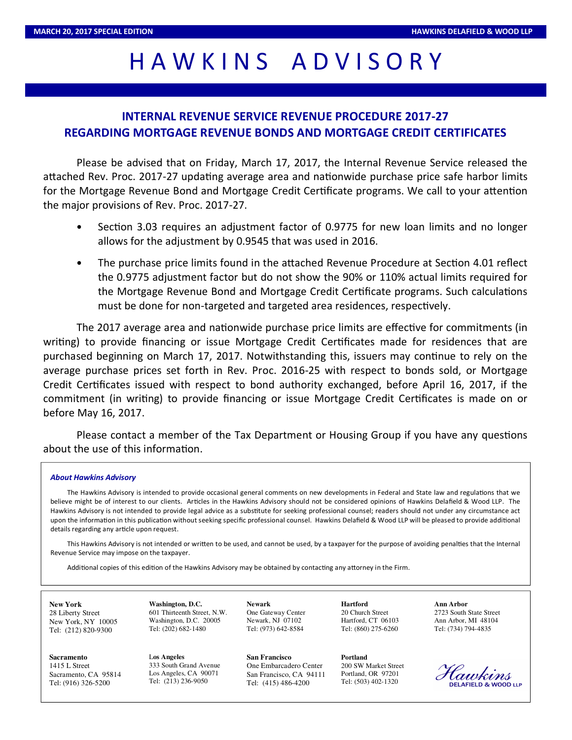# HAWKINS ADVISORY

# **INTERNAL REVENUE SERVICE REVENUE PROCEDURE 2017-27 REGARDING MORTGAGE REVENUE BONDS AND MORTGAGE CREDIT CERTIFICATES**

Please be advised that on Friday, March 17, 2017, the Internal Revenue Service released the attached Rev. Proc. 2017-27 updating average area and nationwide purchase price safe harbor limits for the Mortgage Revenue Bond and Mortgage Credit Certificate programs. We call to your attention the major provisions of Rev. Proc. 2017-27.

- Section 3.03 requires an adjustment factor of 0.9775 for new loan limits and no longer allows for the adjustment by 0.9545 that was used in 2016.
- The purchase price limits found in the attached Revenue Procedure at Section 4.01 reflect the 0.9775 adjustment factor but do not show the 90% or 110% actual limits required for the Mortgage Revenue Bond and Mortgage Credit Certificate programs. Such calculations must be done for non-targeted and targeted area residences, respectively.

The 2017 average area and nationwide purchase price limits are effective for commitments (in writing) to provide financing or issue Mortgage Credit Certificates made for residences that are purchased beginning on March 17, 2017. Notwithstanding this, issuers may continue to rely on the average purchase prices set forth in Rev. Proc. 2016-25 with respect to bonds sold, or Mortgage Credit Certificates issued with respect to bond authority exchanged, before April 16, 2017, if the commitment (in writing) to provide financing or issue Mortgage Credit Certificates is made on or before May 16, 2017.

Please contact a member of the Tax Department or Housing Group if you have any questions about the use of this information.

#### *About Hawkins Advisory*

The Hawkins Advisory is intended to provide occasional general comments on new developments in Federal and State law and regulations that we believe might be of interest to our clients. Articles in the Hawkins Advisory should not be considered opinions of Hawkins Delafield & Wood LLP. The Hawkins Advisory is not intended to provide legal advice as a substitute for seeking professional counsel; readers should not under any circumstance act upon the information in this publication without seeking specific professional counsel. Hawkins Delafield & Wood LLP will be pleased to provide additional details regarding any article upon request.

This Hawkins Advisory is not intended or written to be used, and cannot be used, by a taxpayer for the purpose of avoiding penalties that the Internal Revenue Service may impose on the taxpayer.

Additional copies of this edition of the Hawkins Advisory may be obtained by contacting any attorney in the Firm.

**New York** 28 Liberty Street New York, NY 10005 Tel: (212) 820-9300

**Sacramento** 1415 L Street Sacramento, CA 95814 Tel: (916) 326-5200

**Washington, D.C.** 601 Thirteenth Street, N.W. Washington, D.C. 20005 Tel: (202) 682-1480

L**os Angeles** 333 South Grand Avenue Los Angeles, CA 90071 Tel: (213) 236-9050

**Newark** One Gateway Center Newark, NJ 07102 Tel: (973) 642-8584

**San Francisco** One Embarcadero Center San Francisco, CA 94111 Tel: (415) 486-4200

**Hartford** 20 Church Street Hartford, CT 06103 Tel: (860) 275-6260

**Portland** 200 SW Market Street Portland, OR 97201 Tel: (503) 402-1320

**Ann Arbor** 2723 South State Street Ann Arbor, MI 48104 Tel: (734) 794-4835

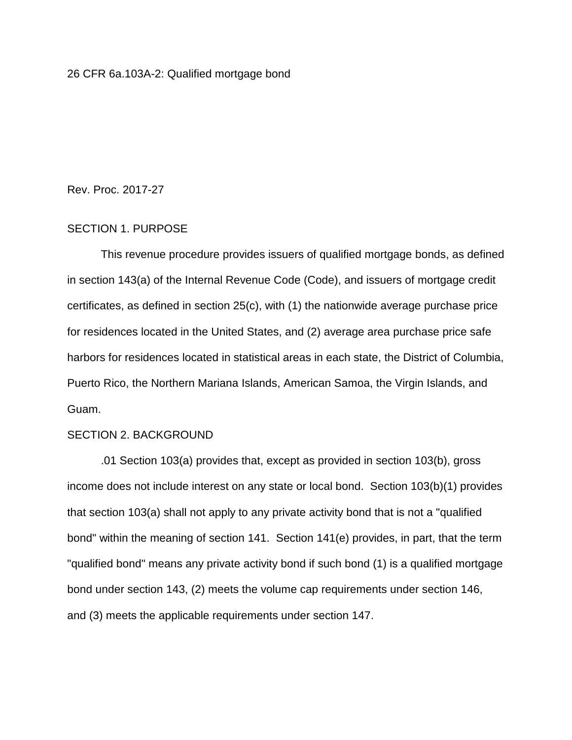Rev. Proc. 2017-27

## SECTION 1. PURPOSE

This revenue procedure provides issuers of qualified mortgage bonds, as defined in section 143(a) of the Internal Revenue Code (Code), and issuers of mortgage credit certificates, as defined in section 25(c), with (1) the nationwide average purchase price for residences located in the United States, and (2) average area purchase price safe harbors for residences located in statistical areas in each state, the District of Columbia, Puerto Rico, the Northern Mariana Islands, American Samoa, the Virgin Islands, and Guam.

#### SECTION 2. BACKGROUND

.01 Section 103(a) provides that, except as provided in section 103(b), gross income does not include interest on any state or local bond. Section 103(b)(1) provides that section 103(a) shall not apply to any private activity bond that is not a "qualified bond" within the meaning of section 141. Section 141(e) provides, in part, that the term "qualified bond" means any private activity bond if such bond (1) is a qualified mortgage bond under section 143, (2) meets the volume cap requirements under section 146, and (3) meets the applicable requirements under section 147.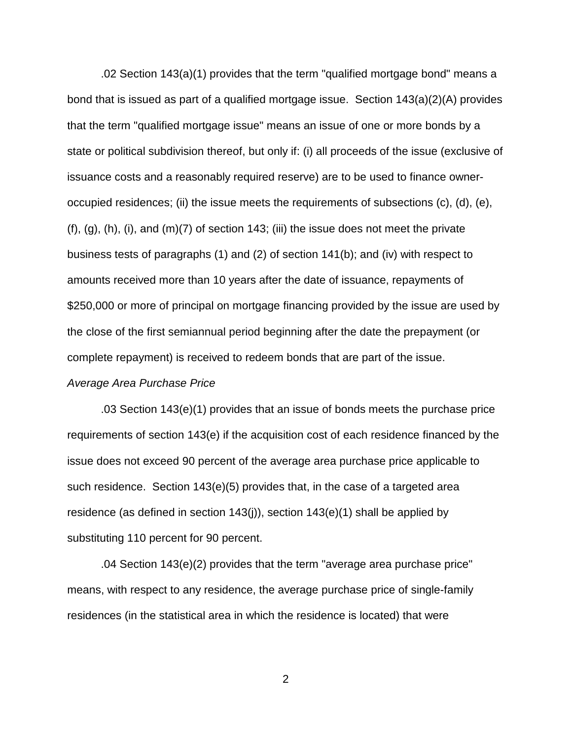.02 Section 143(a)(1) provides that the term "qualified mortgage bond" means a bond that is issued as part of a qualified mortgage issue. Section 143(a)(2)(A) provides that the term "qualified mortgage issue" means an issue of one or more bonds by a state or political subdivision thereof, but only if: (i) all proceeds of the issue (exclusive of issuance costs and a reasonably required reserve) are to be used to finance owneroccupied residences; (ii) the issue meets the requirements of subsections (c), (d), (e), (f),  $(q)$ ,  $(h)$ ,  $(i)$ , and  $(m)(7)$  of section 143; (iii) the issue does not meet the private business tests of paragraphs (1) and (2) of section 141(b); and (iv) with respect to amounts received more than 10 years after the date of issuance, repayments of \$250,000 or more of principal on mortgage financing provided by the issue are used by the close of the first semiannual period beginning after the date the prepayment (or complete repayment) is received to redeem bonds that are part of the issue. *Average Area Purchase Price*

.03 Section 143(e)(1) provides that an issue of bonds meets the purchase price requirements of section 143(e) if the acquisition cost of each residence financed by the issue does not exceed 90 percent of the average area purchase price applicable to such residence. Section 143(e)(5) provides that, in the case of a targeted area residence (as defined in section  $143(i)$ ), section  $143(e)(1)$  shall be applied by substituting 110 percent for 90 percent.

.04 Section 143(e)(2) provides that the term "average area purchase price" means, with respect to any residence, the average purchase price of single-family residences (in the statistical area in which the residence is located) that were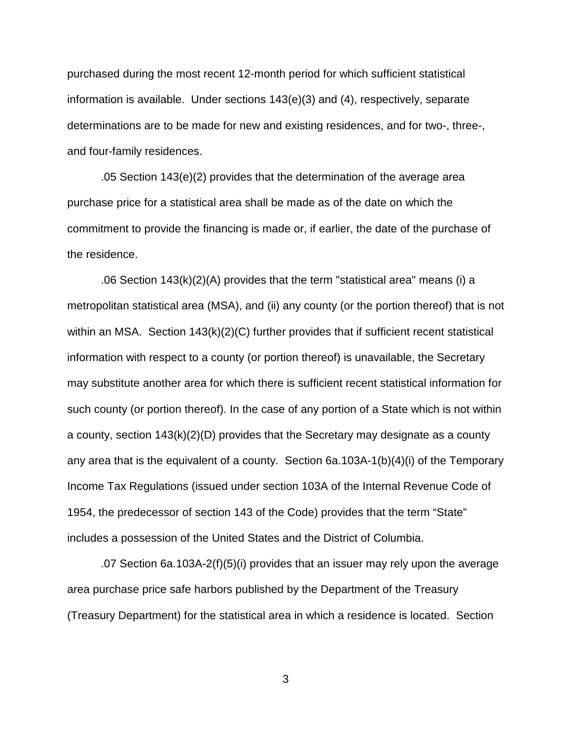purchased during the most recent 12-month period for which sufficient statistical information is available. Under sections 143(e)(3) and (4), respectively, separate determinations are to be made for new and existing residences, and for two-, three-, and four-family residences.

.05 Section 143(e)(2) provides that the determination of the average area purchase price for a statistical area shall be made as of the date on which the commitment to provide the financing is made or, if earlier, the date of the purchase of the residence.

.06 Section 143(k)(2)(A) provides that the term "statistical area" means (i) a metropolitan statistical area (MSA), and (ii) any county (or the portion thereof) that is not within an MSA. Section  $143(k)(2)(C)$  further provides that if sufficient recent statistical information with respect to a county (or portion thereof) is unavailable, the Secretary may substitute another area for which there is sufficient recent statistical information for such county (or portion thereof). In the case of any portion of a State which is not within a county, section 143(k)(2)(D) provides that the Secretary may designate as a county any area that is the equivalent of a county. Section 6a.103A-1(b)(4)(i) of the Temporary Income Tax Regulations (issued under section 103A of the Internal Revenue Code of 1954, the predecessor of section 143 of the Code) provides that the term "State" includes a possession of the United States and the District of Columbia.

.07 Section 6a.103A-2(f)(5)(i) provides that an issuer may rely upon the average area purchase price safe harbors published by the Department of the Treasury (Treasury Department) for the statistical area in which a residence is located. Section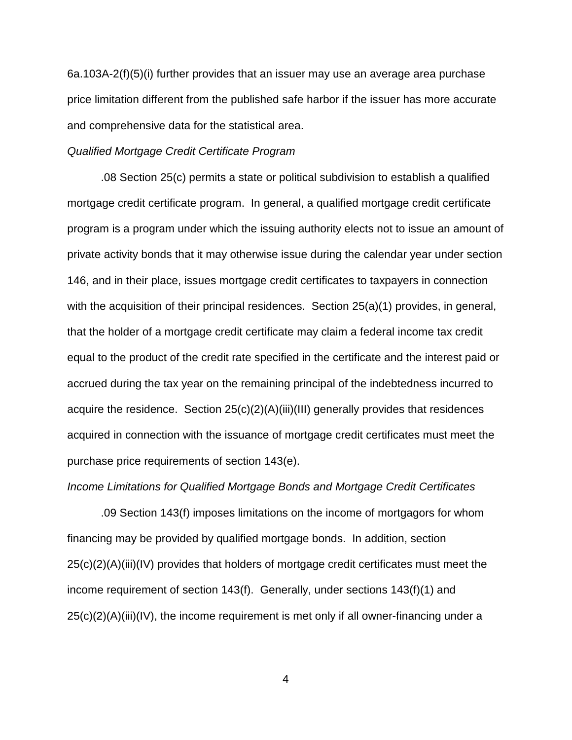6a.103A-2(f)(5)(i) further provides that an issuer may use an average area purchase price limitation different from the published safe harbor if the issuer has more accurate and comprehensive data for the statistical area.

#### *Qualified Mortgage Credit Certificate Program*

.08 Section 25(c) permits a state or political subdivision to establish a qualified mortgage credit certificate program. In general, a qualified mortgage credit certificate program is a program under which the issuing authority elects not to issue an amount of private activity bonds that it may otherwise issue during the calendar year under section 146, and in their place, issues mortgage credit certificates to taxpayers in connection with the acquisition of their principal residences. Section 25(a)(1) provides, in general, that the holder of a mortgage credit certificate may claim a federal income tax credit equal to the product of the credit rate specified in the certificate and the interest paid or accrued during the tax year on the remaining principal of the indebtedness incurred to acquire the residence. Section 25(c)(2)(A)(iii)(III) generally provides that residences acquired in connection with the issuance of mortgage credit certificates must meet the purchase price requirements of section 143(e).

#### *Income Limitations for Qualified Mortgage Bonds and Mortgage Credit Certificates*

.09 Section 143(f) imposes limitations on the income of mortgagors for whom financing may be provided by qualified mortgage bonds. In addition, section 25(c)(2)(A)(iii)(IV) provides that holders of mortgage credit certificates must meet the income requirement of section 143(f). Generally, under sections 143(f)(1) and  $25(c)(2)(A)(iii)(IV)$ , the income requirement is met only if all owner-financing under a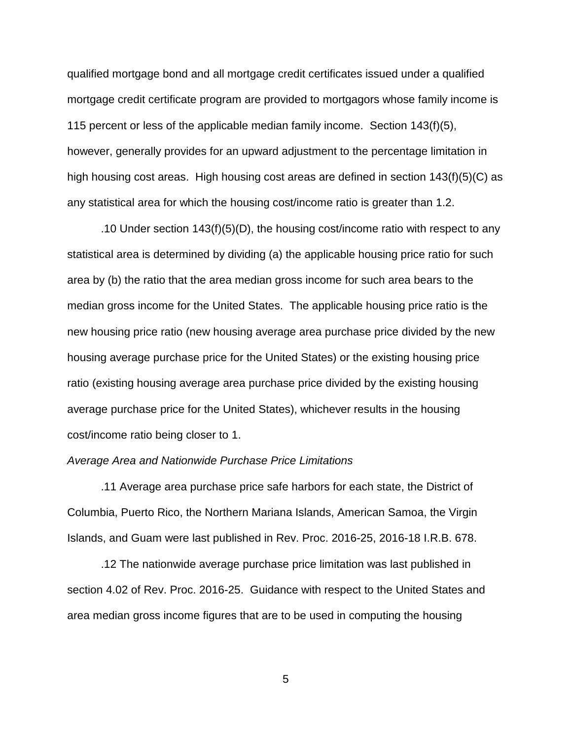qualified mortgage bond and all mortgage credit certificates issued under a qualified mortgage credit certificate program are provided to mortgagors whose family income is 115 percent or less of the applicable median family income. Section 143(f)(5), however, generally provides for an upward adjustment to the percentage limitation in high housing cost areas. High housing cost areas are defined in section 143(f)(5)(C) as any statistical area for which the housing cost/income ratio is greater than 1.2.

.10 Under section 143(f)(5)(D), the housing cost/income ratio with respect to any statistical area is determined by dividing (a) the applicable housing price ratio for such area by (b) the ratio that the area median gross income for such area bears to the median gross income for the United States. The applicable housing price ratio is the new housing price ratio (new housing average area purchase price divided by the new housing average purchase price for the United States) or the existing housing price ratio (existing housing average area purchase price divided by the existing housing average purchase price for the United States), whichever results in the housing cost/income ratio being closer to 1.

#### *Average Area and Nationwide Purchase Price Limitations*

.11 Average area purchase price safe harbors for each state, the District of Columbia, Puerto Rico, the Northern Mariana Islands, American Samoa, the Virgin Islands, and Guam were last published in Rev. Proc. 2016-25, 2016-18 I.R.B. 678.

.12 The nationwide average purchase price limitation was last published in section 4.02 of Rev. Proc. 2016-25. Guidance with respect to the United States and area median gross income figures that are to be used in computing the housing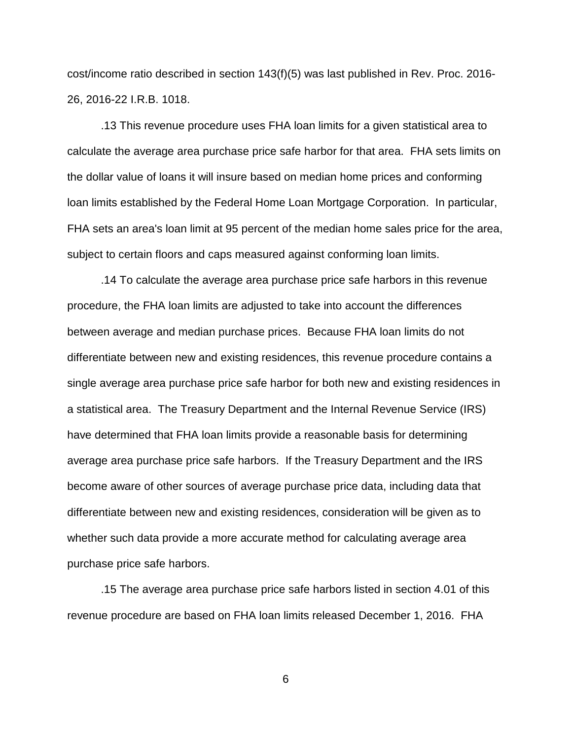cost/income ratio described in section 143(f)(5) was last published in Rev. Proc. 2016- 26, 2016-22 I.R.B. 1018.

.13 This revenue procedure uses FHA loan limits for a given statistical area to calculate the average area purchase price safe harbor for that area. FHA sets limits on the dollar value of loans it will insure based on median home prices and conforming loan limits established by the Federal Home Loan Mortgage Corporation. In particular, FHA sets an area's loan limit at 95 percent of the median home sales price for the area, subject to certain floors and caps measured against conforming loan limits.

.14 To calculate the average area purchase price safe harbors in this revenue procedure, the FHA loan limits are adjusted to take into account the differences between average and median purchase prices. Because FHA loan limits do not differentiate between new and existing residences, this revenue procedure contains a single average area purchase price safe harbor for both new and existing residences in a statistical area. The Treasury Department and the Internal Revenue Service (IRS) have determined that FHA loan limits provide a reasonable basis for determining average area purchase price safe harbors. If the Treasury Department and the IRS become aware of other sources of average purchase price data, including data that differentiate between new and existing residences, consideration will be given as to whether such data provide a more accurate method for calculating average area purchase price safe harbors.

.15 The average area purchase price safe harbors listed in section 4.01 of this revenue procedure are based on FHA loan limits released December 1, 2016. FHA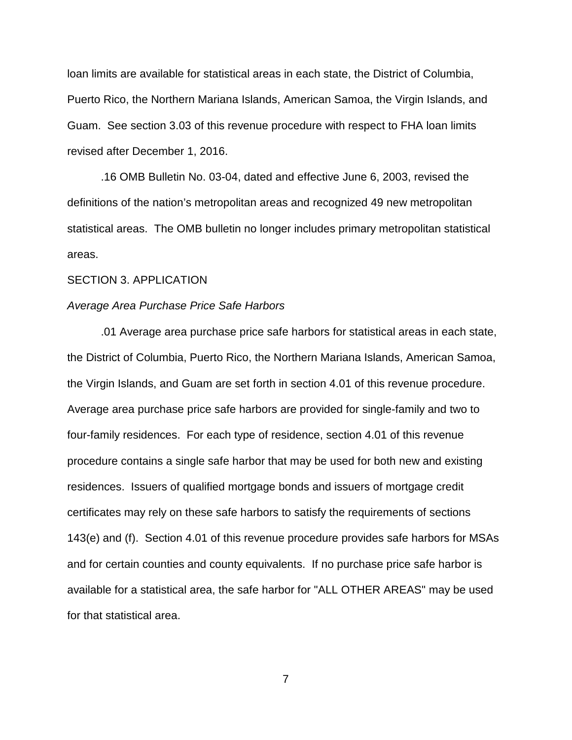loan limits are available for statistical areas in each state, the District of Columbia, Puerto Rico, the Northern Mariana Islands, American Samoa, the Virgin Islands, and Guam. See section 3.03 of this revenue procedure with respect to FHA loan limits revised after December 1, 2016.

.16 OMB Bulletin No. 03-04, dated and effective June 6, 2003, revised the definitions of the nation's metropolitan areas and recognized 49 new metropolitan statistical areas. The OMB bulletin no longer includes primary metropolitan statistical areas.

#### SECTION 3. APPLICATION

#### *Average Area Purchase Price Safe Harbors*

.01 Average area purchase price safe harbors for statistical areas in each state, the District of Columbia, Puerto Rico, the Northern Mariana Islands, American Samoa, the Virgin Islands, and Guam are set forth in section 4.01 of this revenue procedure. Average area purchase price safe harbors are provided for single-family and two to four-family residences. For each type of residence, section 4.01 of this revenue procedure contains a single safe harbor that may be used for both new and existing residences. Issuers of qualified mortgage bonds and issuers of mortgage credit certificates may rely on these safe harbors to satisfy the requirements of sections 143(e) and (f). Section 4.01 of this revenue procedure provides safe harbors for MSAs and for certain counties and county equivalents. If no purchase price safe harbor is available for a statistical area, the safe harbor for "ALL OTHER AREAS" may be used for that statistical area.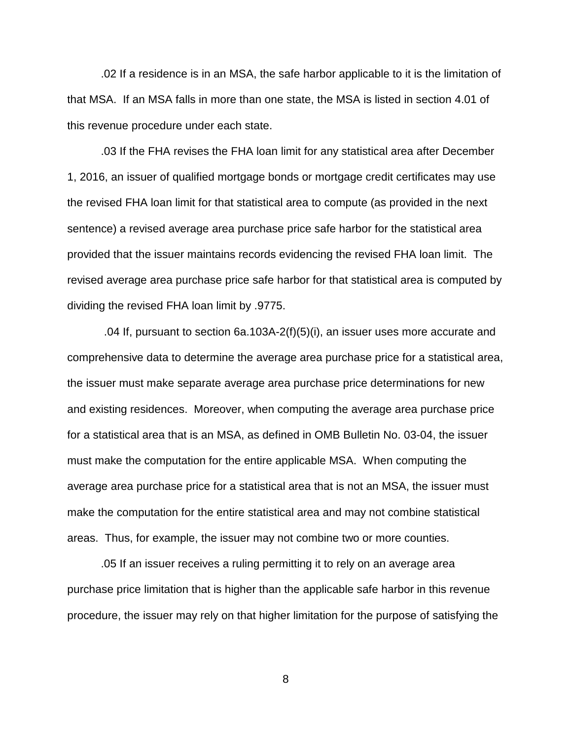.02 If a residence is in an MSA, the safe harbor applicable to it is the limitation of that MSA. If an MSA falls in more than one state, the MSA is listed in section 4.01 of this revenue procedure under each state.

.03 If the FHA revises the FHA loan limit for any statistical area after December 1, 2016, an issuer of qualified mortgage bonds or mortgage credit certificates may use the revised FHA loan limit for that statistical area to compute (as provided in the next sentence) a revised average area purchase price safe harbor for the statistical area provided that the issuer maintains records evidencing the revised FHA loan limit. The revised average area purchase price safe harbor for that statistical area is computed by dividing the revised FHA loan limit by .9775.

.04 If, pursuant to section 6a.103A-2(f)(5)(i), an issuer uses more accurate and comprehensive data to determine the average area purchase price for a statistical area, the issuer must make separate average area purchase price determinations for new and existing residences. Moreover, when computing the average area purchase price for a statistical area that is an MSA, as defined in OMB Bulletin No. 03-04, the issuer must make the computation for the entire applicable MSA. When computing the average area purchase price for a statistical area that is not an MSA, the issuer must make the computation for the entire statistical area and may not combine statistical areas. Thus, for example, the issuer may not combine two or more counties.

.05 If an issuer receives a ruling permitting it to rely on an average area purchase price limitation that is higher than the applicable safe harbor in this revenue procedure, the issuer may rely on that higher limitation for the purpose of satisfying the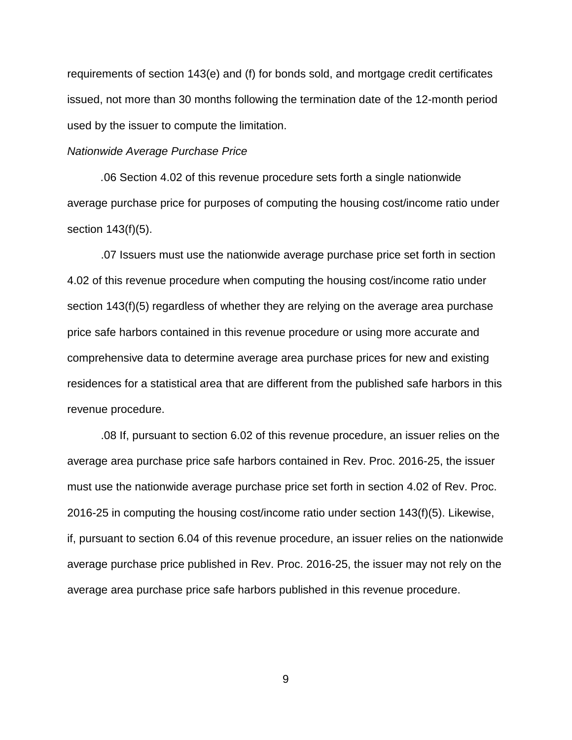requirements of section 143(e) and (f) for bonds sold, and mortgage credit certificates issued, not more than 30 months following the termination date of the 12-month period used by the issuer to compute the limitation.

#### *Nationwide Average Purchase Price*

*.*06 Section 4.02 of this revenue procedure sets forth a single nationwide average purchase price for purposes of computing the housing cost/income ratio under section 143(f)(5).

.07 Issuers must use the nationwide average purchase price set forth in section 4.02 of this revenue procedure when computing the housing cost/income ratio under section 143(f)(5) regardless of whether they are relying on the average area purchase price safe harbors contained in this revenue procedure or using more accurate and comprehensive data to determine average area purchase prices for new and existing residences for a statistical area that are different from the published safe harbors in this revenue procedure.

.08 If, pursuant to section 6.02 of this revenue procedure, an issuer relies on the average area purchase price safe harbors contained in Rev. Proc. 2016-25, the issuer must use the nationwide average purchase price set forth in section 4.02 of Rev. Proc. 2016-25 in computing the housing cost/income ratio under section 143(f)(5). Likewise, if, pursuant to section 6.04 of this revenue procedure, an issuer relies on the nationwide average purchase price published in Rev. Proc. 2016-25, the issuer may not rely on the average area purchase price safe harbors published in this revenue procedure.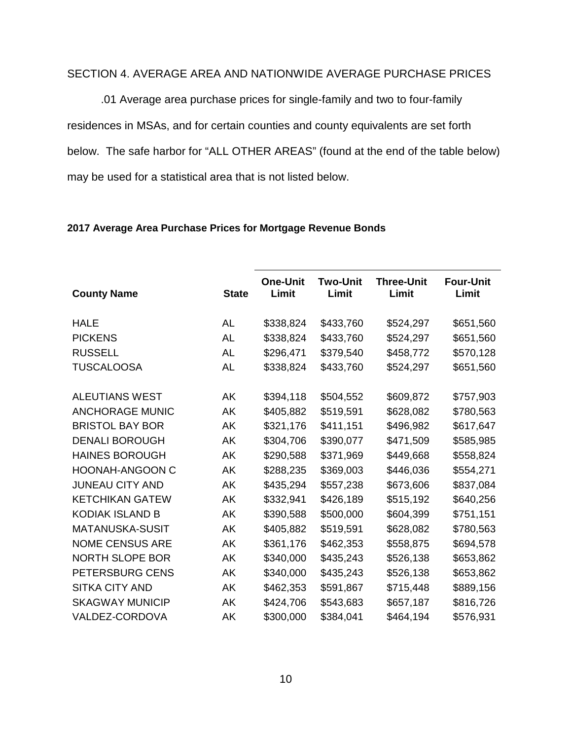# SECTION 4. AVERAGE AREA AND NATIONWIDE AVERAGE PURCHASE PRICES

.01 Average area purchase prices for single-family and two to four-family residences in MSAs, and for certain counties and county equivalents are set forth below. The safe harbor for "ALL OTHER AREAS" (found at the end of the table below) may be used for a statistical area that is not listed below.

| <b>County Name</b>     | <b>State</b> | <b>One-Unit</b><br>Limit | <b>Two-Unit</b><br>Limit | <b>Three-Unit</b><br>Limit | <b>Four-Unit</b><br>Limit |
|------------------------|--------------|--------------------------|--------------------------|----------------------------|---------------------------|
| <b>HALE</b>            | <b>AL</b>    | \$338,824                | \$433,760                | \$524,297                  | \$651,560                 |
| <b>PICKENS</b>         | <b>AL</b>    | \$338,824                | \$433,760                | \$524,297                  | \$651,560                 |
| <b>RUSSELL</b>         | <b>AL</b>    | \$296,471                | \$379,540                | \$458,772                  | \$570,128                 |
| <b>TUSCALOOSA</b>      | AL           | \$338,824                | \$433,760                | \$524,297                  | \$651,560                 |
| <b>ALEUTIANS WEST</b>  | AK           | \$394,118                | \$504,552                | \$609,872                  | \$757,903                 |
| <b>ANCHORAGE MUNIC</b> | AK           | \$405,882                | \$519,591                | \$628,082                  | \$780,563                 |
| <b>BRISTOL BAY BOR</b> | AK           | \$321,176                | \$411,151                | \$496,982                  | \$617,647                 |
| <b>DENALI BOROUGH</b>  | AK           | \$304,706                | \$390,077                | \$471,509                  | \$585,985                 |
| <b>HAINES BOROUGH</b>  | AΚ           | \$290,588                | \$371,969                | \$449,668                  | \$558,824                 |
| <b>HOONAH-ANGOON C</b> | AK           | \$288,235                | \$369,003                | \$446,036                  | \$554,271                 |
| <b>JUNEAU CITY AND</b> | AK           | \$435,294                | \$557,238                | \$673,606                  | \$837,084                 |
| <b>KETCHIKAN GATEW</b> | AK           | \$332,941                | \$426,189                | \$515,192                  | \$640,256                 |
| <b>KODIAK ISLAND B</b> | AK           | \$390,588                | \$500,000                | \$604,399                  | \$751,151                 |
| <b>MATANUSKA-SUSIT</b> | AK           | \$405,882                | \$519,591                | \$628,082                  | \$780,563                 |
| <b>NOME CENSUS ARE</b> | AK           | \$361,176                | \$462,353                | \$558,875                  | \$694,578                 |
| <b>NORTH SLOPE BOR</b> | AK           | \$340,000                | \$435,243                | \$526,138                  | \$653,862                 |
| PETERSBURG CENS        | AK           | \$340,000                | \$435,243                | \$526,138                  | \$653,862                 |
| <b>SITKA CITY AND</b>  | AK           | \$462,353                | \$591,867                | \$715,448                  | \$889,156                 |
| <b>SKAGWAY MUNICIP</b> | AK           | \$424,706                | \$543,683                | \$657,187                  | \$816,726                 |
| VALDEZ-CORDOVA         | AK           | \$300,000                | \$384,041                | \$464,194                  | \$576,931                 |

### **2017 Average Area Purchase Prices for Mortgage Revenue Bonds**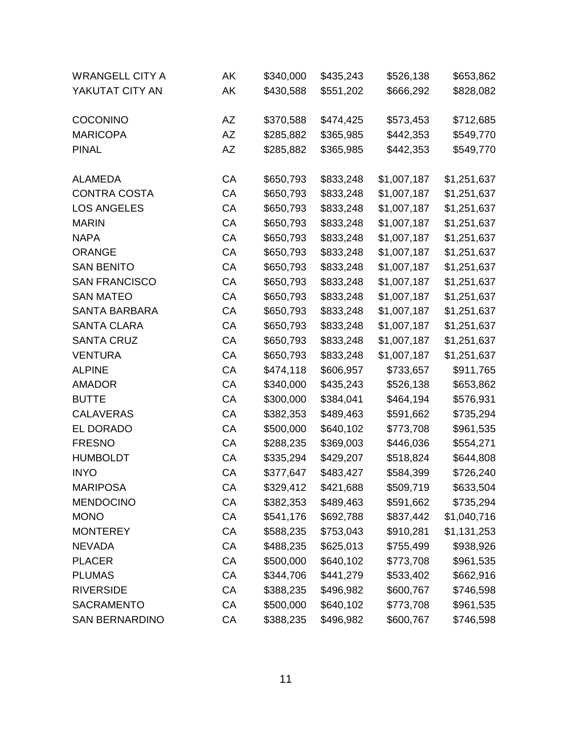| <b>WRANGELL CITY A</b> | ΑK | \$340,000 | \$435,243 | \$526,138   | \$653,862   |
|------------------------|----|-----------|-----------|-------------|-------------|
| YAKUTAT CITY AN        | AK | \$430,588 | \$551,202 | \$666,292   | \$828,082   |
|                        |    |           |           |             |             |
| <b>COCONINO</b>        | AZ | \$370,588 | \$474,425 | \$573,453   | \$712,685   |
| <b>MARICOPA</b>        | AZ | \$285,882 | \$365,985 | \$442,353   | \$549,770   |
| <b>PINAL</b>           | AΖ | \$285,882 | \$365,985 | \$442,353   | \$549,770   |
| <b>ALAMEDA</b>         | СA | \$650,793 | \$833,248 | \$1,007,187 | \$1,251,637 |
| <b>CONTRA COSTA</b>    | CA | \$650,793 | \$833,248 | \$1,007,187 | \$1,251,637 |
| <b>LOS ANGELES</b>     | CA | \$650,793 | \$833,248 | \$1,007,187 | \$1,251,637 |
| <b>MARIN</b>           | CA | \$650,793 | \$833,248 | \$1,007,187 | \$1,251,637 |
| <b>NAPA</b>            | CA | \$650,793 | \$833,248 | \$1,007,187 | \$1,251,637 |
| <b>ORANGE</b>          | CA | \$650,793 | \$833,248 | \$1,007,187 | \$1,251,637 |
| <b>SAN BENITO</b>      | CA | \$650,793 | \$833,248 | \$1,007,187 | \$1,251,637 |
| <b>SAN FRANCISCO</b>   | CA | \$650,793 | \$833,248 | \$1,007,187 | \$1,251,637 |
| <b>SAN MATEO</b>       | CA | \$650,793 | \$833,248 | \$1,007,187 | \$1,251,637 |
| <b>SANTA BARBARA</b>   | CA | \$650,793 | \$833,248 | \$1,007,187 | \$1,251,637 |
| <b>SANTA CLARA</b>     | CA | \$650,793 | \$833,248 | \$1,007,187 | \$1,251,637 |
| <b>SANTA CRUZ</b>      | CA | \$650,793 | \$833,248 | \$1,007,187 | \$1,251,637 |
| <b>VENTURA</b>         | CA | \$650,793 | \$833,248 | \$1,007,187 | \$1,251,637 |
| <b>ALPINE</b>          | CA | \$474,118 | \$606,957 | \$733,657   | \$911,765   |
| <b>AMADOR</b>          | CA | \$340,000 | \$435,243 | \$526,138   | \$653,862   |
| <b>BUTTE</b>           | CA | \$300,000 | \$384,041 | \$464,194   | \$576,931   |
| <b>CALAVERAS</b>       | CA | \$382,353 | \$489,463 | \$591,662   | \$735,294   |
| EL DORADO              | CA | \$500,000 | \$640,102 | \$773,708   | \$961,535   |
| <b>FRESNO</b>          | CA | \$288,235 | \$369,003 | \$446,036   | \$554,271   |
| <b>HUMBOLDT</b>        | CA | \$335,294 | \$429,207 | \$518,824   | \$644,808   |
| <b>INYO</b>            | CA | \$377,647 | \$483,427 | \$584,399   | \$726,240   |
| <b>MARIPOSA</b>        | CA | \$329,412 | \$421,688 | \$509,719   | \$633,504   |
| <b>MENDOCINO</b>       | CA | \$382,353 | \$489,463 | \$591,662   | \$735,294   |
| <b>MONO</b>            | CA | \$541,176 | \$692,788 | \$837,442   | \$1,040,716 |
| <b>MONTEREY</b>        | CA | \$588,235 | \$753,043 | \$910,281   | \$1,131,253 |
| <b>NEVADA</b>          | CA | \$488,235 | \$625,013 | \$755,499   | \$938,926   |
| <b>PLACER</b>          | CA | \$500,000 | \$640,102 | \$773,708   | \$961,535   |
| <b>PLUMAS</b>          | CA | \$344,706 | \$441,279 | \$533,402   | \$662,916   |
| <b>RIVERSIDE</b>       | CA | \$388,235 | \$496,982 | \$600,767   | \$746,598   |
| <b>SACRAMENTO</b>      | CA | \$500,000 | \$640,102 | \$773,708   | \$961,535   |
| <b>SAN BERNARDINO</b>  | СA | \$388,235 | \$496,982 | \$600,767   | \$746,598   |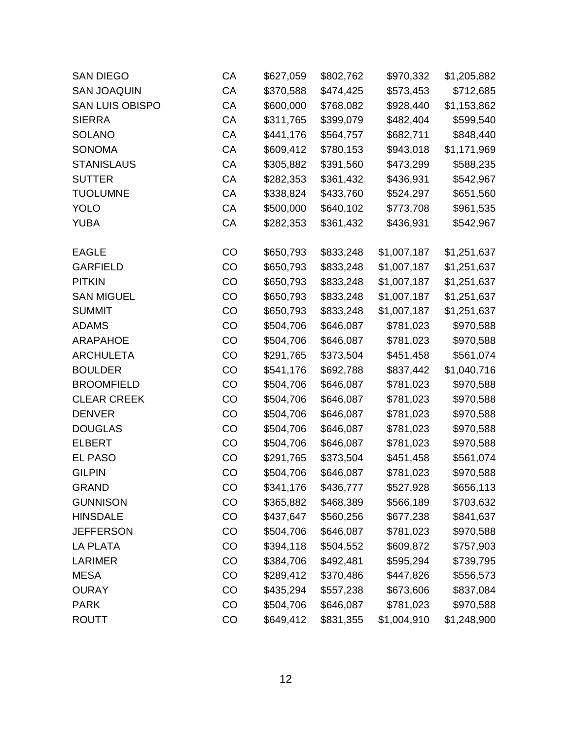| <b>SAN DIEGO</b>   | СA | \$627,059 | \$802,762 | \$970,332   | \$1,205,882 |
|--------------------|----|-----------|-----------|-------------|-------------|
| <b>SAN JOAQUIN</b> | CA | \$370,588 | \$474,425 | \$573,453   | \$712,685   |
| SAN LUIS OBISPO    | CA | \$600,000 | \$768,082 | \$928,440   | \$1,153,862 |
| <b>SIERRA</b>      | CA | \$311,765 | \$399,079 | \$482,404   | \$599,540   |
| <b>SOLANO</b>      | CA | \$441,176 | \$564,757 | \$682,711   | \$848,440   |
| <b>SONOMA</b>      | CA | \$609,412 | \$780,153 | \$943,018   | \$1,171,969 |
| <b>STANISLAUS</b>  | CA | \$305,882 | \$391,560 | \$473,299   | \$588,235   |
| <b>SUTTER</b>      | CA | \$282,353 | \$361,432 | \$436,931   | \$542,967   |
| <b>TUOLUMNE</b>    | CA | \$338,824 | \$433,760 | \$524,297   | \$651,560   |
| <b>YOLO</b>        | CA | \$500,000 | \$640,102 | \$773,708   | \$961,535   |
| <b>YUBA</b>        | CA | \$282,353 | \$361,432 | \$436,931   | \$542,967   |
| <b>EAGLE</b>       | CO | \$650,793 | \$833,248 | \$1,007,187 | \$1,251,637 |
| <b>GARFIELD</b>    | CO | \$650,793 | \$833,248 | \$1,007,187 | \$1,251,637 |
| <b>PITKIN</b>      | CO | \$650,793 | \$833,248 | \$1,007,187 | \$1,251,637 |
| <b>SAN MIGUEL</b>  | CO | \$650,793 | \$833,248 | \$1,007,187 | \$1,251,637 |
| <b>SUMMIT</b>      | CO | \$650,793 | \$833,248 | \$1,007,187 | \$1,251,637 |
| <b>ADAMS</b>       | CO | \$504,706 | \$646,087 | \$781,023   | \$970,588   |
| <b>ARAPAHOE</b>    | CO | \$504,706 | \$646,087 | \$781,023   | \$970,588   |
| <b>ARCHULETA</b>   | CO | \$291,765 | \$373,504 | \$451,458   | \$561,074   |
| <b>BOULDER</b>     | CO | \$541,176 | \$692,788 | \$837,442   | \$1,040,716 |
| <b>BROOMFIELD</b>  | CO | \$504,706 | \$646,087 | \$781,023   | \$970,588   |
| <b>CLEAR CREEK</b> | CO | \$504,706 | \$646,087 | \$781,023   | \$970,588   |
| <b>DENVER</b>      | CO | \$504,706 | \$646,087 | \$781,023   | \$970,588   |
| <b>DOUGLAS</b>     | CO | \$504,706 | \$646,087 | \$781,023   | \$970,588   |
| <b>ELBERT</b>      | CO | \$504,706 | \$646,087 | \$781,023   | \$970,588   |
| <b>EL PASO</b>     | CO | \$291,765 | \$373,504 | \$451,458   | \$561,074   |
| <b>GILPIN</b>      | CO | \$504,706 | \$646,087 | \$781,023   | \$970,588   |
| <b>GRAND</b>       | CO | \$341,176 | \$436,777 | \$527,928   | \$656,113   |
| <b>GUNNISON</b>    | CO | \$365,882 | \$468,389 | \$566,189   | \$703,632   |
| <b>HINSDALE</b>    | CO | \$437,647 | \$560,256 | \$677,238   | \$841,637   |
| <b>JEFFERSON</b>   | CO | \$504,706 | \$646,087 | \$781,023   | \$970,588   |
| <b>LA PLATA</b>    | CO | \$394,118 | \$504,552 | \$609,872   | \$757,903   |
| <b>LARIMER</b>     | CO | \$384,706 | \$492,481 | \$595,294   | \$739,795   |
| <b>MESA</b>        | CO | \$289,412 | \$370,486 | \$447,826   | \$556,573   |
| <b>OURAY</b>       | CO | \$435,294 | \$557,238 | \$673,606   | \$837,084   |
| <b>PARK</b>        | CO | \$504,706 | \$646,087 | \$781,023   | \$970,588   |
| <b>ROUTT</b>       | CO | \$649,412 | \$831,355 | \$1,004,910 | \$1,248,900 |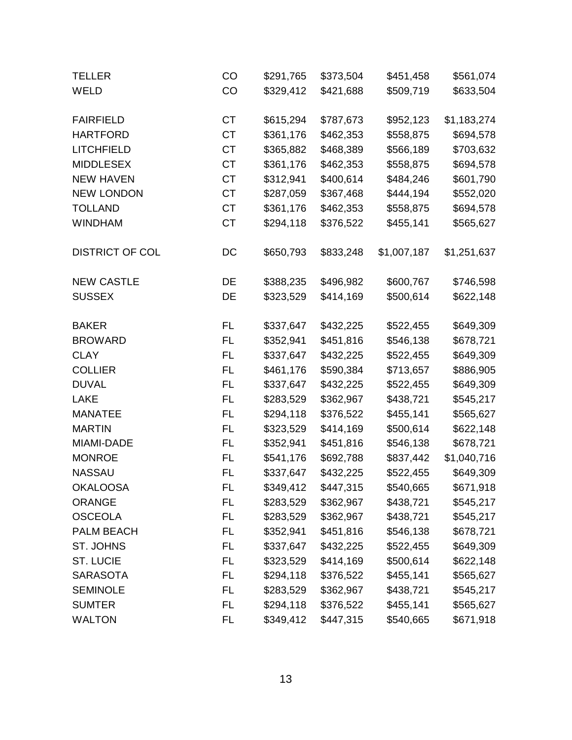| <b>TELLER</b>          | CO        | \$291,765 | \$373,504 | \$451,458   | \$561,074   |
|------------------------|-----------|-----------|-----------|-------------|-------------|
| WELD                   | CO        | \$329,412 | \$421,688 | \$509,719   | \$633,504   |
|                        |           |           |           |             |             |
| <b>FAIRFIELD</b>       | <b>CT</b> | \$615,294 | \$787,673 | \$952,123   | \$1,183,274 |
| <b>HARTFORD</b>        | <b>CT</b> | \$361,176 | \$462,353 | \$558,875   | \$694,578   |
| <b>LITCHFIELD</b>      | <b>CT</b> | \$365,882 | \$468,389 | \$566,189   | \$703,632   |
| <b>MIDDLESEX</b>       | <b>CT</b> | \$361,176 | \$462,353 | \$558,875   | \$694,578   |
| <b>NEW HAVEN</b>       | <b>CT</b> | \$312,941 | \$400,614 | \$484,246   | \$601,790   |
| <b>NEW LONDON</b>      | <b>CT</b> | \$287,059 | \$367,468 | \$444,194   | \$552,020   |
| <b>TOLLAND</b>         | <b>CT</b> | \$361,176 | \$462,353 | \$558,875   | \$694,578   |
| <b>WINDHAM</b>         | <b>CT</b> | \$294,118 | \$376,522 | \$455,141   | \$565,627   |
| <b>DISTRICT OF COL</b> | DC        | \$650,793 | \$833,248 | \$1,007,187 | \$1,251,637 |
| <b>NEW CASTLE</b>      | DE        | \$388,235 | \$496,982 | \$600,767   | \$746,598   |
| <b>SUSSEX</b>          | DE        | \$323,529 | \$414,169 | \$500,614   | \$622,148   |
| <b>BAKER</b>           | <b>FL</b> | \$337,647 | \$432,225 | \$522,455   | \$649,309   |
| <b>BROWARD</b>         | <b>FL</b> | \$352,941 | \$451,816 | \$546,138   | \$678,721   |
| <b>CLAY</b>            | <b>FL</b> | \$337,647 | \$432,225 | \$522,455   | \$649,309   |
| <b>COLLIER</b>         | <b>FL</b> | \$461,176 | \$590,384 | \$713,657   | \$886,905   |
| <b>DUVAL</b>           | <b>FL</b> | \$337,647 | \$432,225 | \$522,455   | \$649,309   |
| <b>LAKE</b>            | <b>FL</b> | \$283,529 | \$362,967 | \$438,721   | \$545,217   |
| <b>MANATEE</b>         | <b>FL</b> | \$294,118 | \$376,522 | \$455,141   | \$565,627   |
| <b>MARTIN</b>          | <b>FL</b> | \$323,529 | \$414,169 | \$500,614   | \$622,148   |
| MIAMI-DADE             | <b>FL</b> | \$352,941 | \$451,816 | \$546,138   | \$678,721   |
| <b>MONROE</b>          | <b>FL</b> | \$541,176 | \$692,788 | \$837,442   | \$1,040,716 |
| <b>NASSAU</b>          | <b>FL</b> | \$337,647 | \$432,225 | \$522,455   | \$649,309   |
| <b>OKALOOSA</b>        | FL        | \$349,412 | \$447,315 | \$540,665   | \$671,918   |
| <b>ORANGE</b>          | FL        | \$283,529 | \$362,967 | \$438,721   | \$545,217   |
| <b>OSCEOLA</b>         | <b>FL</b> | \$283,529 | \$362,967 | \$438,721   | \$545,217   |
| PALM BEACH             | FL        | \$352,941 | \$451,816 | \$546,138   | \$678,721   |
| ST. JOHNS              | FL        | \$337,647 | \$432,225 | \$522,455   | \$649,309   |
| <b>ST. LUCIE</b>       | <b>FL</b> | \$323,529 | \$414,169 | \$500,614   | \$622,148   |
| <b>SARASOTA</b>        | FL        | \$294,118 | \$376,522 | \$455,141   | \$565,627   |
| <b>SEMINOLE</b>        | FL        | \$283,529 | \$362,967 | \$438,721   | \$545,217   |
| <b>SUMTER</b>          | FL        | \$294,118 | \$376,522 | \$455,141   | \$565,627   |
| <b>WALTON</b>          | FL        | \$349,412 | \$447,315 | \$540,665   | \$671,918   |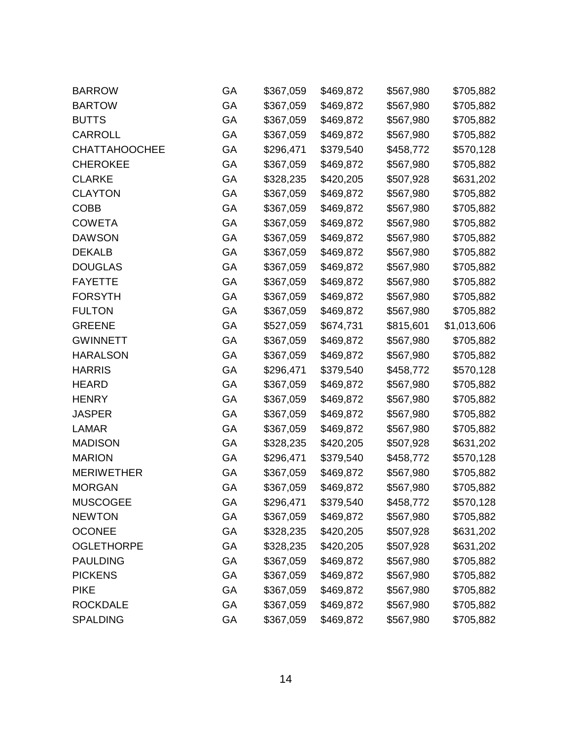| <b>BARROW</b>        | GA | \$367,059 | \$469,872 | \$567,980 | \$705,882   |
|----------------------|----|-----------|-----------|-----------|-------------|
| <b>BARTOW</b>        | GA | \$367,059 | \$469,872 | \$567,980 | \$705,882   |
| <b>BUTTS</b>         | GA | \$367,059 | \$469,872 | \$567,980 | \$705,882   |
| <b>CARROLL</b>       | GA | \$367,059 | \$469,872 | \$567,980 | \$705,882   |
| <b>CHATTAHOOCHEE</b> | GA | \$296,471 | \$379,540 | \$458,772 | \$570,128   |
| <b>CHEROKEE</b>      | GA | \$367,059 | \$469,872 | \$567,980 | \$705,882   |
| <b>CLARKE</b>        | GA | \$328,235 | \$420,205 | \$507,928 | \$631,202   |
| <b>CLAYTON</b>       | GA | \$367,059 | \$469,872 | \$567,980 | \$705,882   |
| <b>COBB</b>          | GA | \$367,059 | \$469,872 | \$567,980 | \$705,882   |
| <b>COWETA</b>        | GA | \$367,059 | \$469,872 | \$567,980 | \$705,882   |
| <b>DAWSON</b>        | GA | \$367,059 | \$469,872 | \$567,980 | \$705,882   |
| <b>DEKALB</b>        | GA | \$367,059 | \$469,872 | \$567,980 | \$705,882   |
| <b>DOUGLAS</b>       | GA | \$367,059 | \$469,872 | \$567,980 | \$705,882   |
| <b>FAYETTE</b>       | GA | \$367,059 | \$469,872 | \$567,980 | \$705,882   |
| <b>FORSYTH</b>       | GA | \$367,059 | \$469,872 | \$567,980 | \$705,882   |
| <b>FULTON</b>        | GA | \$367,059 | \$469,872 | \$567,980 | \$705,882   |
| <b>GREENE</b>        | GA | \$527,059 | \$674,731 | \$815,601 | \$1,013,606 |
| <b>GWINNETT</b>      | GA | \$367,059 | \$469,872 | \$567,980 | \$705,882   |
| <b>HARALSON</b>      | GA | \$367,059 | \$469,872 | \$567,980 | \$705,882   |
| <b>HARRIS</b>        | GA | \$296,471 | \$379,540 | \$458,772 | \$570,128   |
| <b>HEARD</b>         | GA | \$367,059 | \$469,872 | \$567,980 | \$705,882   |
| <b>HENRY</b>         | GA | \$367,059 | \$469,872 | \$567,980 | \$705,882   |
| <b>JASPER</b>        | GA | \$367,059 | \$469,872 | \$567,980 | \$705,882   |
| <b>LAMAR</b>         | GA | \$367,059 | \$469,872 | \$567,980 | \$705,882   |
| <b>MADISON</b>       | GA | \$328,235 | \$420,205 | \$507,928 | \$631,202   |
| <b>MARION</b>        | GA | \$296,471 | \$379,540 | \$458,772 | \$570,128   |
| <b>MERIWETHER</b>    | GA | \$367,059 | \$469,872 | \$567,980 | \$705,882   |
| <b>MORGAN</b>        | GA | \$367,059 | \$469,872 | \$567,980 | \$705,882   |
| <b>MUSCOGEE</b>      | GA | \$296,471 | \$379,540 | \$458,772 | \$570,128   |
| <b>NEWTON</b>        | GA | \$367,059 | \$469,872 | \$567,980 | \$705,882   |
| <b>OCONEE</b>        | GA | \$328,235 | \$420,205 | \$507,928 | \$631,202   |
| <b>OGLETHORPE</b>    | GA | \$328,235 | \$420,205 | \$507,928 | \$631,202   |
| <b>PAULDING</b>      | GA | \$367,059 | \$469,872 | \$567,980 | \$705,882   |
| <b>PICKENS</b>       | GA | \$367,059 | \$469,872 | \$567,980 | \$705,882   |
| <b>PIKE</b>          | GA | \$367,059 | \$469,872 | \$567,980 | \$705,882   |
| <b>ROCKDALE</b>      | GA | \$367,059 | \$469,872 | \$567,980 | \$705,882   |
| <b>SPALDING</b>      | GA | \$367,059 | \$469,872 | \$567,980 | \$705,882   |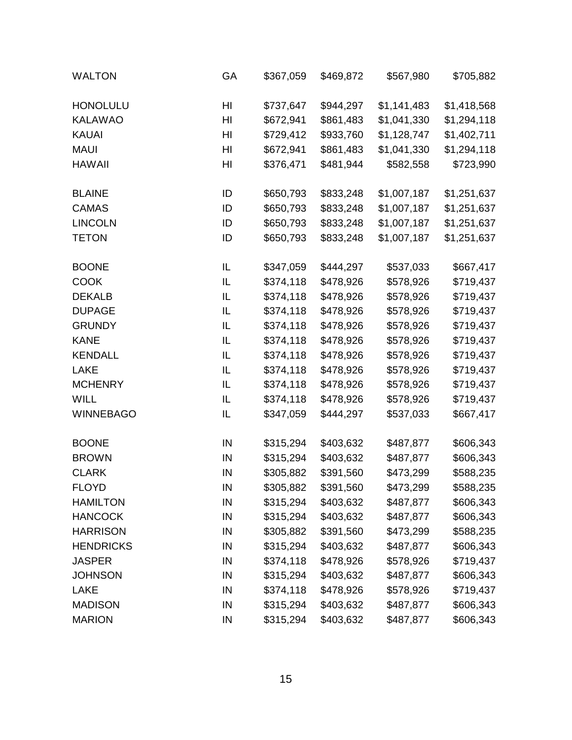| <b>WALTON</b>    | GA | \$367,059 | \$469,872 | \$567,980   | \$705,882   |
|------------------|----|-----------|-----------|-------------|-------------|
| <b>HONOLULU</b>  | HI | \$737,647 | \$944,297 | \$1,141,483 | \$1,418,568 |
| <b>KALAWAO</b>   | HI | \$672,941 | \$861,483 | \$1,041,330 | \$1,294,118 |
| <b>KAUAI</b>     | HI | \$729,412 | \$933,760 | \$1,128,747 | \$1,402,711 |
| <b>MAUI</b>      | HI | \$672,941 | \$861,483 | \$1,041,330 | \$1,294,118 |
| <b>HAWAII</b>    | HI | \$376,471 | \$481,944 | \$582,558   | \$723,990   |
| <b>BLAINE</b>    | ID | \$650,793 | \$833,248 | \$1,007,187 | \$1,251,637 |
| <b>CAMAS</b>     | ID | \$650,793 | \$833,248 | \$1,007,187 | \$1,251,637 |
| <b>LINCOLN</b>   | ID | \$650,793 | \$833,248 | \$1,007,187 | \$1,251,637 |
| <b>TETON</b>     | ID | \$650,793 | \$833,248 | \$1,007,187 | \$1,251,637 |
| <b>BOONE</b>     | IL | \$347,059 | \$444,297 | \$537,033   | \$667,417   |
| <b>COOK</b>      | IL | \$374,118 | \$478,926 | \$578,926   | \$719,437   |
| <b>DEKALB</b>    | IL | \$374,118 | \$478,926 | \$578,926   | \$719,437   |
| <b>DUPAGE</b>    | IL | \$374,118 | \$478,926 | \$578,926   | \$719,437   |
| <b>GRUNDY</b>    | IL | \$374,118 | \$478,926 | \$578,926   | \$719,437   |
| <b>KANE</b>      | IL | \$374,118 | \$478,926 | \$578,926   | \$719,437   |
| <b>KENDALL</b>   | IL | \$374,118 | \$478,926 | \$578,926   | \$719,437   |
| <b>LAKE</b>      | IL | \$374,118 | \$478,926 | \$578,926   | \$719,437   |
| <b>MCHENRY</b>   | IL | \$374,118 | \$478,926 | \$578,926   | \$719,437   |
| <b>WILL</b>      | IL | \$374,118 | \$478,926 | \$578,926   | \$719,437   |
| <b>WINNEBAGO</b> | IL | \$347,059 | \$444,297 | \$537,033   | \$667,417   |
| <b>BOONE</b>     | IN | \$315,294 | \$403,632 | \$487,877   | \$606,343   |
| <b>BROWN</b>     | IN | \$315,294 | \$403,632 | \$487,877   | \$606,343   |
| <b>CLARK</b>     | IN | \$305,882 | \$391,560 | \$473,299   | \$588,235   |
| <b>FLOYD</b>     | IN | \$305,882 | \$391,560 | \$473,299   | \$588,235   |
| <b>HAMILTON</b>  | IN | \$315,294 | \$403,632 | \$487,877   | \$606,343   |
| <b>HANCOCK</b>   | IN | \$315,294 | \$403,632 | \$487,877   | \$606,343   |
| <b>HARRISON</b>  | IN | \$305,882 | \$391,560 | \$473,299   | \$588,235   |
| <b>HENDRICKS</b> | IN | \$315,294 | \$403,632 | \$487,877   | \$606,343   |
| <b>JASPER</b>    | IN | \$374,118 | \$478,926 | \$578,926   | \$719,437   |
| <b>JOHNSON</b>   | IN | \$315,294 | \$403,632 | \$487,877   | \$606,343   |
| LAKE             | IN | \$374,118 | \$478,926 | \$578,926   | \$719,437   |
| <b>MADISON</b>   | IN | \$315,294 | \$403,632 | \$487,877   | \$606,343   |
| <b>MARION</b>    | IN | \$315,294 | \$403,632 | \$487,877   | \$606,343   |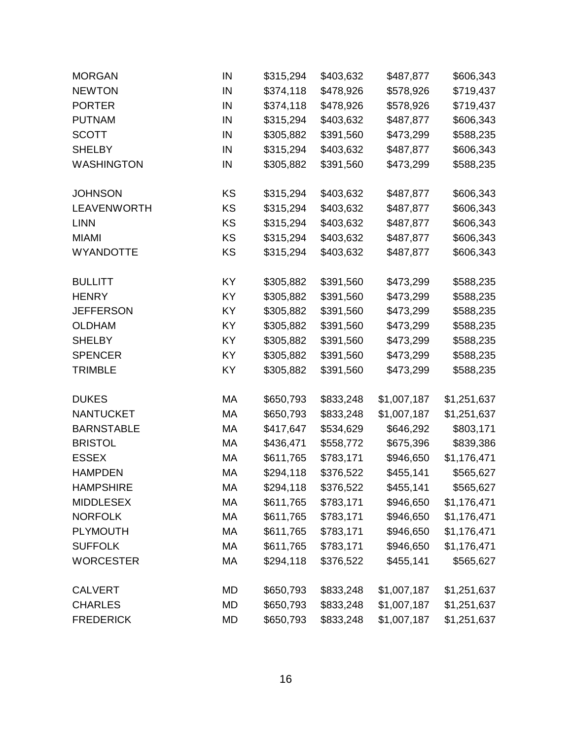| <b>MORGAN</b>      | IN        | \$315,294 | \$403,632 | \$487,877   | \$606,343   |
|--------------------|-----------|-----------|-----------|-------------|-------------|
| <b>NEWTON</b>      | IN        | \$374,118 | \$478,926 | \$578,926   | \$719,437   |
| <b>PORTER</b>      | IN        | \$374,118 | \$478,926 | \$578,926   | \$719,437   |
| <b>PUTNAM</b>      | IN        | \$315,294 | \$403,632 | \$487,877   | \$606,343   |
| <b>SCOTT</b>       | IN        | \$305,882 | \$391,560 | \$473,299   | \$588,235   |
| <b>SHELBY</b>      | IN        | \$315,294 | \$403,632 | \$487,877   | \$606,343   |
| <b>WASHINGTON</b>  | IN        | \$305,882 | \$391,560 | \$473,299   | \$588,235   |
| <b>JOHNSON</b>     | KS        | \$315,294 | \$403,632 | \$487,877   | \$606,343   |
| <b>LEAVENWORTH</b> | KS        | \$315,294 | \$403,632 | \$487,877   | \$606,343   |
| <b>LINN</b>        | KS        | \$315,294 | \$403,632 | \$487,877   | \$606,343   |
| <b>MIAMI</b>       | KS        | \$315,294 | \$403,632 | \$487,877   | \$606,343   |
| <b>WYANDOTTE</b>   | KS        | \$315,294 | \$403,632 | \$487,877   | \$606,343   |
| <b>BULLITT</b>     | KY        | \$305,882 | \$391,560 | \$473,299   | \$588,235   |
| <b>HENRY</b>       | KY        | \$305,882 | \$391,560 | \$473,299   | \$588,235   |
| <b>JEFFERSON</b>   | KY        | \$305,882 | \$391,560 | \$473,299   | \$588,235   |
| <b>OLDHAM</b>      | KY        | \$305,882 | \$391,560 | \$473,299   | \$588,235   |
| <b>SHELBY</b>      | KY        | \$305,882 | \$391,560 | \$473,299   | \$588,235   |
| <b>SPENCER</b>     | KY        | \$305,882 | \$391,560 | \$473,299   | \$588,235   |
| <b>TRIMBLE</b>     | KY        | \$305,882 | \$391,560 | \$473,299   | \$588,235   |
| <b>DUKES</b>       | МA        | \$650,793 | \$833,248 | \$1,007,187 | \$1,251,637 |
| <b>NANTUCKET</b>   | МA        | \$650,793 | \$833,248 | \$1,007,187 | \$1,251,637 |
| <b>BARNSTABLE</b>  | МA        | \$417,647 | \$534,629 | \$646,292   | \$803,171   |
| <b>BRISTOL</b>     | MA        | \$436,471 | \$558,772 | \$675,396   | \$839,386   |
| <b>ESSEX</b>       | МA        | \$611,765 | \$783,171 | \$946,650   | \$1,176,471 |
| <b>HAMPDEN</b>     | МA        | \$294,118 | \$376,522 | \$455,141   | \$565,627   |
| <b>HAMPSHIRE</b>   | МA        | \$294,118 | \$376,522 | \$455,141   | \$565,627   |
| <b>MIDDLESEX</b>   | МA        | \$611,765 | \$783,171 | \$946,650   | \$1,176,471 |
| <b>NORFOLK</b>     | МA        | \$611,765 | \$783,171 | \$946,650   | \$1,176,471 |
| <b>PLYMOUTH</b>    | МA        | \$611,765 | \$783,171 | \$946,650   | \$1,176,471 |
| <b>SUFFOLK</b>     | MA        | \$611,765 | \$783,171 | \$946,650   | \$1,176,471 |
| <b>WORCESTER</b>   | МA        | \$294,118 | \$376,522 | \$455,141   | \$565,627   |
| <b>CALVERT</b>     | MD        | \$650,793 | \$833,248 | \$1,007,187 | \$1,251,637 |
| <b>CHARLES</b>     | <b>MD</b> | \$650,793 | \$833,248 | \$1,007,187 | \$1,251,637 |
| <b>FREDERICK</b>   | MD        | \$650,793 | \$833,248 | \$1,007,187 | \$1,251,637 |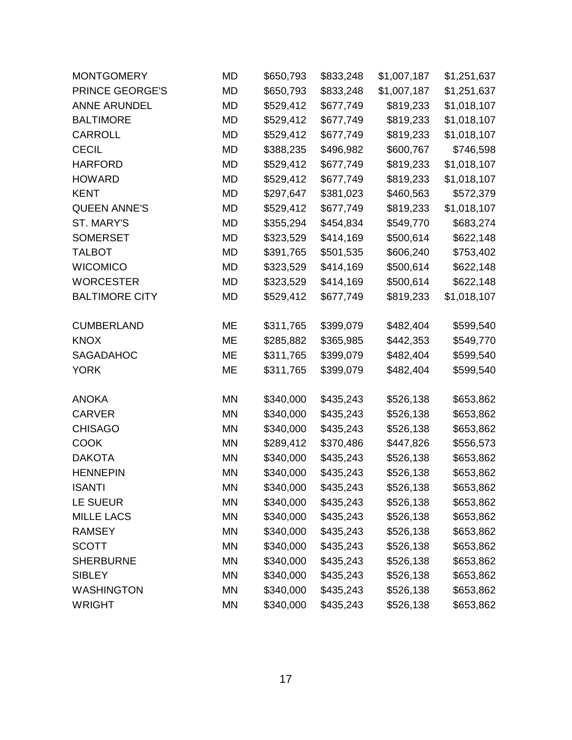| <b>MONTGOMERY</b>     | MD        | \$650,793 | \$833,248 | \$1,007,187 | \$1,251,637 |
|-----------------------|-----------|-----------|-----------|-------------|-------------|
| PRINCE GEORGE'S       | MD        | \$650,793 | \$833,248 | \$1,007,187 | \$1,251,637 |
| <b>ANNE ARUNDEL</b>   | <b>MD</b> | \$529,412 | \$677,749 | \$819,233   | \$1,018,107 |
| <b>BALTIMORE</b>      | MD        | \$529,412 | \$677,749 | \$819,233   | \$1,018,107 |
| <b>CARROLL</b>        | <b>MD</b> | \$529,412 | \$677,749 | \$819,233   | \$1,018,107 |
| <b>CECIL</b>          | <b>MD</b> | \$388,235 | \$496,982 | \$600,767   | \$746,598   |
| <b>HARFORD</b>        | <b>MD</b> | \$529,412 | \$677,749 | \$819,233   | \$1,018,107 |
| <b>HOWARD</b>         | <b>MD</b> | \$529,412 | \$677,749 | \$819,233   | \$1,018,107 |
| <b>KENT</b>           | MD        | \$297,647 | \$381,023 | \$460,563   | \$572,379   |
| <b>QUEEN ANNE'S</b>   | <b>MD</b> | \$529,412 | \$677,749 | \$819,233   | \$1,018,107 |
| ST. MARY'S            | <b>MD</b> | \$355,294 | \$454,834 | \$549,770   | \$683,274   |
| <b>SOMERSET</b>       | MD        | \$323,529 | \$414,169 | \$500,614   | \$622,148   |
| <b>TALBOT</b>         | <b>MD</b> | \$391,765 | \$501,535 | \$606,240   | \$753,402   |
| <b>WICOMICO</b>       | МD        | \$323,529 | \$414,169 | \$500,614   | \$622,148   |
| <b>WORCESTER</b>      | MD        | \$323,529 | \$414,169 | \$500,614   | \$622,148   |
| <b>BALTIMORE CITY</b> | <b>MD</b> | \$529,412 | \$677,749 | \$819,233   | \$1,018,107 |
| <b>CUMBERLAND</b>     | МE        | \$311,765 | \$399,079 | \$482,404   | \$599,540   |
| <b>KNOX</b>           | MЕ        | \$285,882 | \$365,985 | \$442,353   | \$549,770   |
| <b>SAGADAHOC</b>      | ME        | \$311,765 | \$399,079 | \$482,404   | \$599,540   |
| <b>YORK</b>           | ME        | \$311,765 | \$399,079 | \$482,404   | \$599,540   |
| <b>ANOKA</b>          | MN        | \$340,000 | \$435,243 | \$526,138   | \$653,862   |
| <b>CARVER</b>         | <b>MN</b> | \$340,000 | \$435,243 | \$526,138   | \$653,862   |
| <b>CHISAGO</b>        | MN        | \$340,000 | \$435,243 | \$526,138   | \$653,862   |
| <b>COOK</b>           | MN        | \$289,412 | \$370,486 | \$447,826   | \$556,573   |
| <b>DAKOTA</b>         | ΜN        | \$340,000 | \$435,243 | \$526,138   | \$653,862   |
| <b>HENNEPIN</b>       | <b>MN</b> | \$340,000 | \$435,243 | \$526,138   | \$653,862   |
| <b>ISANTI</b>         | MΝ        | \$340,000 | \$435,243 | \$526,138   | \$653,862   |
| <b>LE SUEUR</b>       | MN        | \$340,000 | \$435,243 | \$526,138   | \$653,862   |
| <b>MILLE LACS</b>     | <b>MN</b> | \$340,000 | \$435,243 | \$526,138   | \$653,862   |
| <b>RAMSEY</b>         | MN        | \$340,000 | \$435,243 | \$526,138   | \$653,862   |
| <b>SCOTT</b>          | <b>MN</b> | \$340,000 | \$435,243 | \$526,138   | \$653,862   |
| <b>SHERBURNE</b>      | MN        | \$340,000 | \$435,243 | \$526,138   | \$653,862   |
| <b>SIBLEY</b>         | MN        | \$340,000 | \$435,243 | \$526,138   | \$653,862   |
| <b>WASHINGTON</b>     | <b>MN</b> | \$340,000 | \$435,243 | \$526,138   | \$653,862   |
| <b>WRIGHT</b>         | MN        | \$340,000 | \$435,243 | \$526,138   | \$653,862   |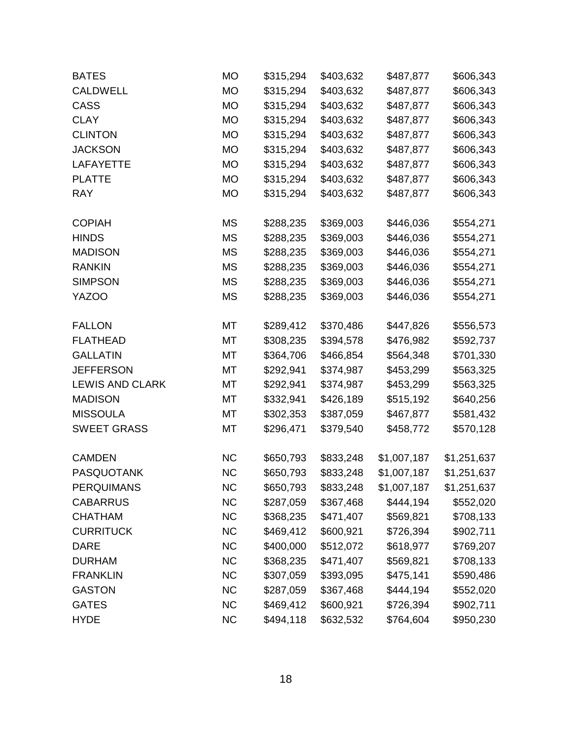| <b>BATES</b>           | <b>MO</b> | \$315,294 | \$403,632 | \$487,877   | \$606,343   |
|------------------------|-----------|-----------|-----------|-------------|-------------|
| <b>CALDWELL</b>        | <b>MO</b> | \$315,294 | \$403,632 | \$487,877   | \$606,343   |
| CASS                   | <b>MO</b> | \$315,294 | \$403,632 | \$487,877   | \$606,343   |
| <b>CLAY</b>            | МO        | \$315,294 | \$403,632 | \$487,877   | \$606,343   |
| <b>CLINTON</b>         | <b>MO</b> | \$315,294 | \$403,632 | \$487,877   | \$606,343   |
| <b>JACKSON</b>         | <b>MO</b> | \$315,294 | \$403,632 | \$487,877   | \$606,343   |
| <b>LAFAYETTE</b>       | <b>MO</b> | \$315,294 | \$403,632 | \$487,877   | \$606,343   |
| <b>PLATTE</b>          | <b>MO</b> | \$315,294 | \$403,632 | \$487,877   | \$606,343   |
| <b>RAY</b>             | МO        | \$315,294 | \$403,632 | \$487,877   | \$606,343   |
| <b>COPIAH</b>          | ΜS        | \$288,235 | \$369,003 | \$446,036   | \$554,271   |
| <b>HINDS</b>           | <b>MS</b> | \$288,235 | \$369,003 | \$446,036   | \$554,271   |
| <b>MADISON</b>         | <b>MS</b> | \$288,235 | \$369,003 | \$446,036   | \$554,271   |
| <b>RANKIN</b>          | ΜS        | \$288,235 | \$369,003 | \$446,036   | \$554,271   |
| <b>SIMPSON</b>         | <b>MS</b> | \$288,235 | \$369,003 | \$446,036   | \$554,271   |
| YAZOO                  | <b>MS</b> | \$288,235 | \$369,003 | \$446,036   | \$554,271   |
| <b>FALLON</b>          | МT        | \$289,412 | \$370,486 | \$447,826   | \$556,573   |
| <b>FLATHEAD</b>        | МT        | \$308,235 | \$394,578 | \$476,982   | \$592,737   |
| <b>GALLATIN</b>        | МT        | \$364,706 | \$466,854 | \$564,348   | \$701,330   |
| <b>JEFFERSON</b>       | МT        | \$292,941 | \$374,987 | \$453,299   | \$563,325   |
| <b>LEWIS AND CLARK</b> | МT        | \$292,941 | \$374,987 | \$453,299   | \$563,325   |
| <b>MADISON</b>         | МT        | \$332,941 | \$426,189 | \$515,192   | \$640,256   |
| <b>MISSOULA</b>        | МT        | \$302,353 | \$387,059 | \$467,877   | \$581,432   |
| <b>SWEET GRASS</b>     | МT        | \$296,471 | \$379,540 | \$458,772   | \$570,128   |
| <b>CAMDEN</b>          | <b>NC</b> | \$650,793 | \$833,248 | \$1,007,187 | \$1,251,637 |
| <b>PASQUOTANK</b>      | <b>NC</b> | \$650,793 | \$833,248 | \$1,007,187 | \$1,251,637 |
| <b>PERQUIMANS</b>      | NС        | \$650,793 | \$833,248 | \$1,007,187 | \$1,251,637 |
| <b>CABARRUS</b>        | NС        | \$287,059 | \$367,468 | \$444,194   | \$552,020   |
| <b>CHATHAM</b>         | <b>NC</b> | \$368,235 | \$471,407 | \$569,821   | \$708,133   |
| <b>CURRITUCK</b>       | <b>NC</b> | \$469,412 | \$600,921 | \$726,394   | \$902,711   |
| <b>DARE</b>            | <b>NC</b> | \$400,000 | \$512,072 | \$618,977   | \$769,207   |
| <b>DURHAM</b>          | <b>NC</b> | \$368,235 | \$471,407 | \$569,821   | \$708,133   |
| <b>FRANKLIN</b>        | <b>NC</b> | \$307,059 | \$393,095 | \$475,141   | \$590,486   |
| <b>GASTON</b>          | <b>NC</b> | \$287,059 | \$367,468 | \$444,194   | \$552,020   |
| <b>GATES</b>           | <b>NC</b> | \$469,412 | \$600,921 | \$726,394   | \$902,711   |
| <b>HYDE</b>            | <b>NC</b> | \$494,118 | \$632,532 | \$764,604   | \$950,230   |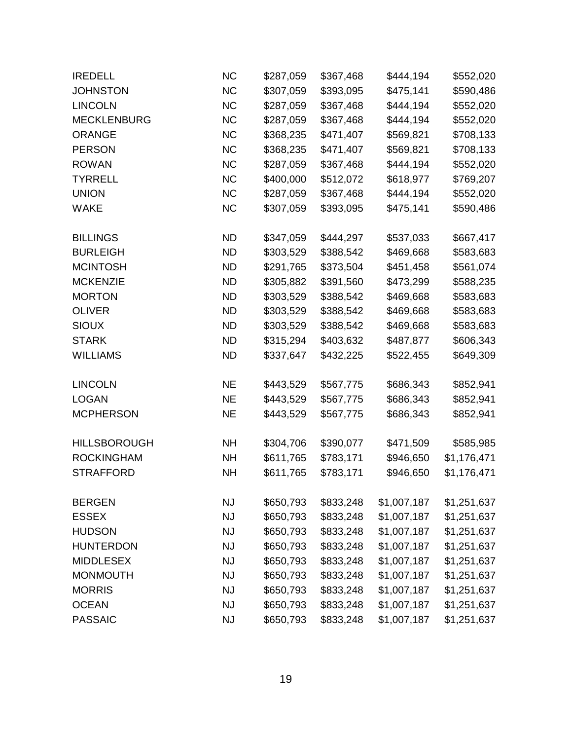| <b>IREDELL</b>      | <b>NC</b> | \$287,059 | \$367,468 | \$444,194   | \$552,020   |
|---------------------|-----------|-----------|-----------|-------------|-------------|
| <b>JOHNSTON</b>     | <b>NC</b> | \$307,059 | \$393,095 | \$475,141   | \$590,486   |
| <b>LINCOLN</b>      | <b>NC</b> | \$287,059 | \$367,468 | \$444,194   | \$552,020   |
| <b>MECKLENBURG</b>  | <b>NC</b> | \$287,059 | \$367,468 | \$444,194   | \$552,020   |
| <b>ORANGE</b>       | <b>NC</b> | \$368,235 | \$471,407 | \$569,821   | \$708,133   |
| <b>PERSON</b>       | <b>NC</b> | \$368,235 | \$471,407 | \$569,821   | \$708,133   |
| <b>ROWAN</b>        | <b>NC</b> | \$287,059 | \$367,468 | \$444,194   | \$552,020   |
| <b>TYRRELL</b>      | <b>NC</b> | \$400,000 | \$512,072 | \$618,977   | \$769,207   |
| <b>UNION</b>        | <b>NC</b> | \$287,059 | \$367,468 | \$444,194   | \$552,020   |
| <b>WAKE</b>         | <b>NC</b> | \$307,059 | \$393,095 | \$475,141   | \$590,486   |
| <b>BILLINGS</b>     | ND.       | \$347,059 | \$444,297 | \$537,033   | \$667,417   |
| <b>BURLEIGH</b>     | <b>ND</b> | \$303,529 | \$388,542 | \$469,668   | \$583,683   |
| <b>MCINTOSH</b>     | <b>ND</b> | \$291,765 | \$373,504 | \$451,458   | \$561,074   |
| <b>MCKENZIE</b>     | <b>ND</b> | \$305,882 | \$391,560 | \$473,299   | \$588,235   |
| <b>MORTON</b>       | <b>ND</b> | \$303,529 | \$388,542 | \$469,668   | \$583,683   |
| <b>OLIVER</b>       | <b>ND</b> | \$303,529 | \$388,542 | \$469,668   | \$583,683   |
| <b>SIOUX</b>        | <b>ND</b> | \$303,529 | \$388,542 | \$469,668   | \$583,683   |
| <b>STARK</b>        | <b>ND</b> | \$315,294 | \$403,632 | \$487,877   | \$606,343   |
| <b>WILLIAMS</b>     | <b>ND</b> | \$337,647 | \$432,225 | \$522,455   | \$649,309   |
| <b>LINCOLN</b>      | <b>NE</b> | \$443,529 | \$567,775 | \$686,343   | \$852,941   |
| <b>LOGAN</b>        | <b>NE</b> | \$443,529 | \$567,775 | \$686,343   | \$852,941   |
| <b>MCPHERSON</b>    | <b>NE</b> | \$443,529 | \$567,775 | \$686,343   | \$852,941   |
| <b>HILLSBOROUGH</b> | <b>NH</b> | \$304,706 | \$390,077 | \$471,509   | \$585,985   |
| <b>ROCKINGHAM</b>   | <b>NH</b> | \$611,765 | \$783,171 | \$946,650   | \$1,176,471 |
| <b>STRAFFORD</b>    | <b>NH</b> | \$611,765 | \$783,171 | \$946,650   | \$1,176,471 |
| <b>BERGEN</b>       | <b>NJ</b> | \$650,793 | \$833,248 | \$1,007,187 | \$1,251,637 |
| <b>ESSEX</b>        | <b>NJ</b> | \$650,793 | \$833,248 | \$1,007,187 | \$1,251,637 |
| <b>HUDSON</b>       | <b>NJ</b> | \$650,793 | \$833,248 | \$1,007,187 | \$1,251,637 |
| <b>HUNTERDON</b>    | <b>NJ</b> | \$650,793 | \$833,248 | \$1,007,187 | \$1,251,637 |
| <b>MIDDLESEX</b>    | <b>NJ</b> | \$650,793 | \$833,248 | \$1,007,187 | \$1,251,637 |
| <b>MONMOUTH</b>     | <b>NJ</b> | \$650,793 | \$833,248 | \$1,007,187 | \$1,251,637 |
| <b>MORRIS</b>       | <b>NJ</b> | \$650,793 | \$833,248 | \$1,007,187 | \$1,251,637 |
| <b>OCEAN</b>        | <b>NJ</b> | \$650,793 | \$833,248 | \$1,007,187 | \$1,251,637 |
| <b>PASSAIC</b>      | <b>NJ</b> | \$650,793 | \$833,248 | \$1,007,187 | \$1,251,637 |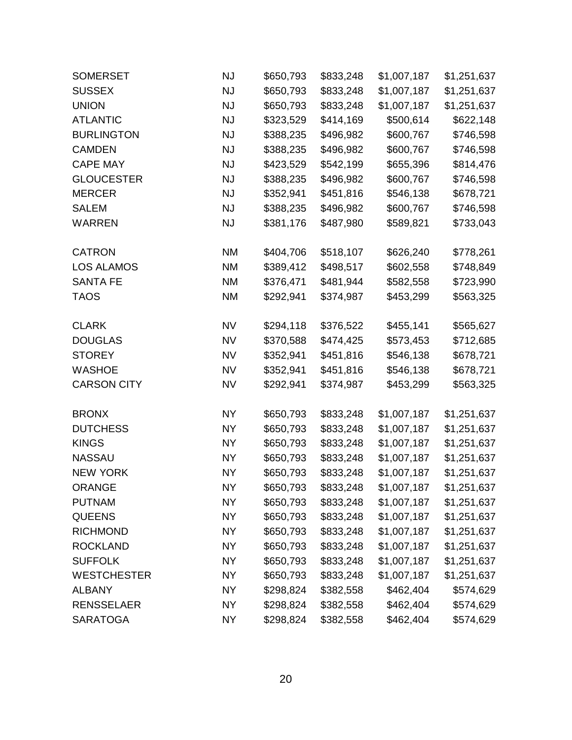| <b>SOMERSET</b>    | <b>NJ</b> | \$650,793 | \$833,248 | \$1,007,187 | \$1,251,637 |
|--------------------|-----------|-----------|-----------|-------------|-------------|
| <b>SUSSEX</b>      | <b>NJ</b> | \$650,793 | \$833,248 | \$1,007,187 | \$1,251,637 |
| <b>UNION</b>       | <b>NJ</b> | \$650,793 | \$833,248 | \$1,007,187 | \$1,251,637 |
| <b>ATLANTIC</b>    | <b>NJ</b> | \$323,529 | \$414,169 | \$500,614   | \$622,148   |
| <b>BURLINGTON</b>  | <b>NJ</b> | \$388,235 | \$496,982 | \$600,767   | \$746,598   |
| <b>CAMDEN</b>      | <b>NJ</b> | \$388,235 | \$496,982 | \$600,767   | \$746,598   |
| <b>CAPE MAY</b>    | <b>NJ</b> | \$423,529 | \$542,199 | \$655,396   | \$814,476   |
| <b>GLOUCESTER</b>  | <b>NJ</b> | \$388,235 | \$496,982 | \$600,767   | \$746,598   |
| <b>MERCER</b>      | <b>NJ</b> | \$352,941 | \$451,816 | \$546,138   | \$678,721   |
| <b>SALEM</b>       | <b>NJ</b> | \$388,235 | \$496,982 | \$600,767   | \$746,598   |
| <b>WARREN</b>      | <b>NJ</b> | \$381,176 | \$487,980 | \$589,821   | \$733,043   |
| <b>CATRON</b>      | <b>NM</b> | \$404,706 | \$518,107 | \$626,240   | \$778,261   |
| <b>LOS ALAMOS</b>  | <b>NM</b> | \$389,412 | \$498,517 | \$602,558   | \$748,849   |
| <b>SANTA FE</b>    | <b>NM</b> | \$376,471 | \$481,944 | \$582,558   | \$723,990   |
| <b>TAOS</b>        | <b>NM</b> | \$292,941 | \$374,987 | \$453,299   | \$563,325   |
| <b>CLARK</b>       | <b>NV</b> | \$294,118 | \$376,522 | \$455,141   | \$565,627   |
| <b>DOUGLAS</b>     | <b>NV</b> | \$370,588 | \$474,425 | \$573,453   | \$712,685   |
| <b>STOREY</b>      | <b>NV</b> | \$352,941 | \$451,816 | \$546,138   | \$678,721   |
| <b>WASHOE</b>      | <b>NV</b> | \$352,941 | \$451,816 | \$546,138   | \$678,721   |
| <b>CARSON CITY</b> | <b>NV</b> | \$292,941 | \$374,987 | \$453,299   | \$563,325   |
| <b>BRONX</b>       | <b>NY</b> | \$650,793 | \$833,248 | \$1,007,187 | \$1,251,637 |
| <b>DUTCHESS</b>    | <b>NY</b> | \$650,793 | \$833,248 | \$1,007,187 | \$1,251,637 |
| <b>KINGS</b>       | <b>NY</b> | \$650,793 | \$833,248 | \$1,007,187 | \$1,251,637 |
| <b>NASSAU</b>      | <b>NY</b> | \$650,793 | \$833,248 | \$1,007,187 | \$1,251,637 |
| <b>NEW YORK</b>    | <b>NY</b> | \$650,793 | \$833,248 | \$1,007,187 | \$1,251,637 |
| <b>ORANGE</b>      | <b>NY</b> | \$650,793 | \$833,248 | \$1,007,187 | \$1,251,637 |
| <b>PUTNAM</b>      | <b>NY</b> | \$650,793 | \$833,248 | \$1,007,187 | \$1,251,637 |
| <b>QUEENS</b>      | <b>NY</b> | \$650,793 | \$833,248 | \$1,007,187 | \$1,251,637 |
| <b>RICHMOND</b>    | <b>NY</b> | \$650,793 | \$833,248 | \$1,007,187 | \$1,251,637 |
| <b>ROCKLAND</b>    | <b>NY</b> | \$650,793 | \$833,248 | \$1,007,187 | \$1,251,637 |
| <b>SUFFOLK</b>     | <b>NY</b> | \$650,793 | \$833,248 | \$1,007,187 | \$1,251,637 |
| <b>WESTCHESTER</b> | <b>NY</b> | \$650,793 | \$833,248 | \$1,007,187 | \$1,251,637 |
| <b>ALBANY</b>      | <b>NY</b> | \$298,824 | \$382,558 | \$462,404   | \$574,629   |
| <b>RENSSELAER</b>  | <b>NY</b> | \$298,824 | \$382,558 | \$462,404   | \$574,629   |
| <b>SARATOGA</b>    | <b>NY</b> | \$298,824 | \$382,558 | \$462,404   | \$574,629   |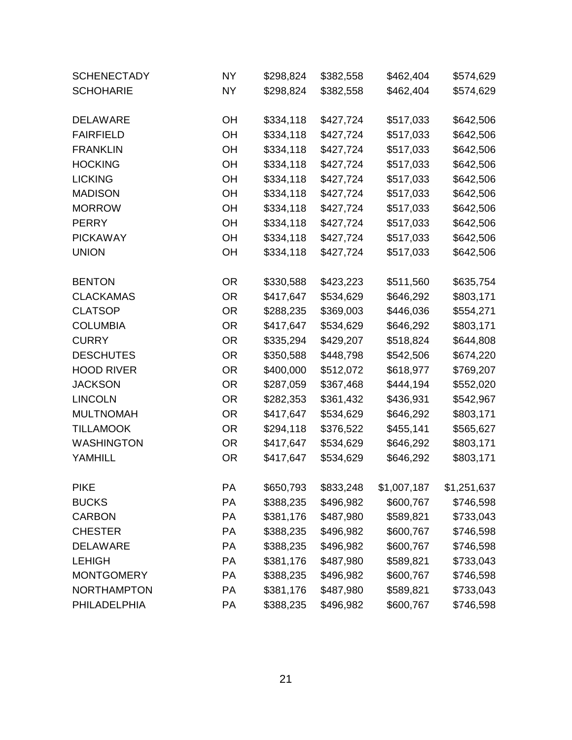| <b>SCHENECTADY</b> | <b>NY</b> | \$298,824 | \$382,558 | \$462,404   | \$574,629   |
|--------------------|-----------|-----------|-----------|-------------|-------------|
| <b>SCHOHARIE</b>   | <b>NY</b> | \$298,824 | \$382,558 | \$462,404   | \$574,629   |
| <b>DELAWARE</b>    | <b>OH</b> | \$334,118 | \$427,724 | \$517,033   | \$642,506   |
| <b>FAIRFIELD</b>   | OH        | \$334,118 | \$427,724 | \$517,033   | \$642,506   |
| <b>FRANKLIN</b>    | OH        | \$334,118 | \$427,724 | \$517,033   | \$642,506   |
| <b>HOCKING</b>     | OH        | \$334,118 | \$427,724 | \$517,033   | \$642,506   |
| <b>LICKING</b>     | OH        | \$334,118 | \$427,724 | \$517,033   | \$642,506   |
| <b>MADISON</b>     | OH        | \$334,118 | \$427,724 | \$517,033   | \$642,506   |
| <b>MORROW</b>      | OH        | \$334,118 | \$427,724 | \$517,033   | \$642,506   |
| <b>PERRY</b>       | OH        | \$334,118 | \$427,724 | \$517,033   | \$642,506   |
| <b>PICKAWAY</b>    | OH        | \$334,118 | \$427,724 | \$517,033   | \$642,506   |
| <b>UNION</b>       | OH        | \$334,118 | \$427,724 | \$517,033   | \$642,506   |
| <b>BENTON</b>      | <b>OR</b> | \$330,588 | \$423,223 | \$511,560   | \$635,754   |
| <b>CLACKAMAS</b>   | <b>OR</b> | \$417,647 | \$534,629 | \$646,292   | \$803,171   |
| <b>CLATSOP</b>     | <b>OR</b> | \$288,235 | \$369,003 | \$446,036   | \$554,271   |
| <b>COLUMBIA</b>    | <b>OR</b> | \$417,647 | \$534,629 | \$646,292   | \$803,171   |
| <b>CURRY</b>       | <b>OR</b> | \$335,294 | \$429,207 | \$518,824   | \$644,808   |
| <b>DESCHUTES</b>   | <b>OR</b> | \$350,588 | \$448,798 | \$542,506   | \$674,220   |
| <b>HOOD RIVER</b>  | <b>OR</b> | \$400,000 | \$512,072 | \$618,977   | \$769,207   |
| <b>JACKSON</b>     | <b>OR</b> | \$287,059 | \$367,468 | \$444,194   | \$552,020   |
| <b>LINCOLN</b>     | <b>OR</b> | \$282,353 | \$361,432 | \$436,931   | \$542,967   |
| <b>MULTNOMAH</b>   | <b>OR</b> | \$417,647 | \$534,629 | \$646,292   | \$803,171   |
| <b>TILLAMOOK</b>   | <b>OR</b> | \$294,118 | \$376,522 | \$455,141   | \$565,627   |
| <b>WASHINGTON</b>  | <b>OR</b> | \$417,647 | \$534,629 | \$646,292   | \$803,171   |
| <b>YAMHILL</b>     | <b>OR</b> | \$417,647 | \$534,629 | \$646,292   | \$803,171   |
| <b>PIKE</b>        | PA        | \$650,793 | \$833,248 | \$1,007,187 | \$1,251,637 |
| <b>BUCKS</b>       | <b>PA</b> | \$388,235 | \$496,982 | \$600,767   | \$746,598   |
| <b>CARBON</b>      | PA        | \$381,176 | \$487,980 | \$589,821   | \$733,043   |
| <b>CHESTER</b>     | PA        | \$388,235 | \$496,982 | \$600,767   | \$746,598   |
| <b>DELAWARE</b>    | <b>PA</b> | \$388,235 | \$496,982 | \$600,767   | \$746,598   |
| <b>LEHIGH</b>      | PA        | \$381,176 | \$487,980 | \$589,821   | \$733,043   |
| <b>MONTGOMERY</b>  | <b>PA</b> | \$388,235 | \$496,982 | \$600,767   | \$746,598   |
| <b>NORTHAMPTON</b> | <b>PA</b> | \$381,176 | \$487,980 | \$589,821   | \$733,043   |
| PHILADELPHIA       | PA        | \$388,235 | \$496,982 | \$600,767   | \$746,598   |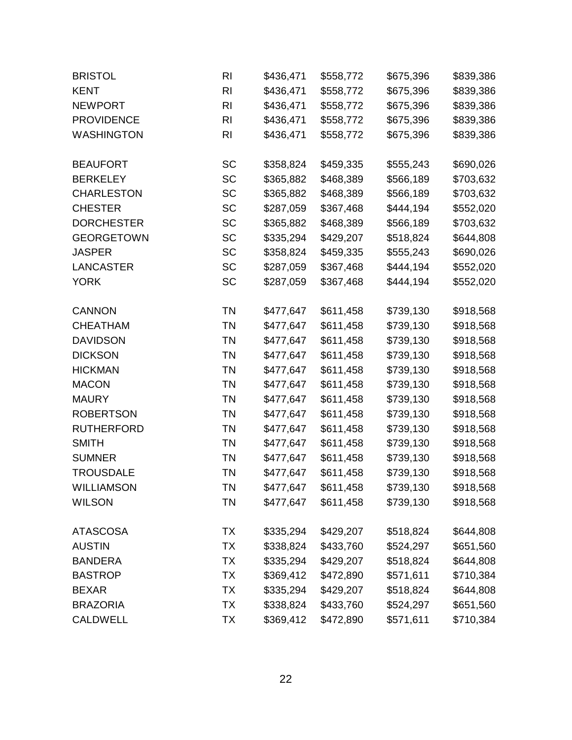| <b>BRISTOL</b>    | RI             | \$436,471 | \$558,772 | \$675,396 | \$839,386 |
|-------------------|----------------|-----------|-----------|-----------|-----------|
| <b>KENT</b>       | RI             | \$436,471 | \$558,772 | \$675,396 | \$839,386 |
| <b>NEWPORT</b>    | RI             | \$436,471 | \$558,772 | \$675,396 | \$839,386 |
| <b>PROVIDENCE</b> | RI             | \$436,471 | \$558,772 | \$675,396 | \$839,386 |
| <b>WASHINGTON</b> | R <sub>l</sub> | \$436,471 | \$558,772 | \$675,396 | \$839,386 |
| <b>BEAUFORT</b>   | <b>SC</b>      | \$358,824 | \$459,335 | \$555,243 | \$690,026 |
| <b>BERKELEY</b>   | <b>SC</b>      | \$365,882 | \$468,389 | \$566,189 | \$703,632 |
| <b>CHARLESTON</b> | <b>SC</b>      | \$365,882 | \$468,389 | \$566,189 | \$703,632 |
| <b>CHESTER</b>    | <b>SC</b>      | \$287,059 | \$367,468 | \$444,194 | \$552,020 |
| <b>DORCHESTER</b> | <b>SC</b>      | \$365,882 | \$468,389 | \$566,189 | \$703,632 |
| <b>GEORGETOWN</b> | <b>SC</b>      | \$335,294 | \$429,207 | \$518,824 | \$644,808 |
| <b>JASPER</b>     | <b>SC</b>      | \$358,824 | \$459,335 | \$555,243 | \$690,026 |
| <b>LANCASTER</b>  | <b>SC</b>      | \$287,059 | \$367,468 | \$444,194 | \$552,020 |
| <b>YORK</b>       | <b>SC</b>      | \$287,059 | \$367,468 | \$444,194 | \$552,020 |
| <b>CANNON</b>     | TN             | \$477,647 | \$611,458 | \$739,130 | \$918,568 |
| <b>CHEATHAM</b>   | ΤN             | \$477,647 | \$611,458 | \$739,130 | \$918,568 |
| <b>DAVIDSON</b>   | <b>TN</b>      | \$477,647 | \$611,458 | \$739,130 | \$918,568 |
| <b>DICKSON</b>    | <b>TN</b>      | \$477,647 | \$611,458 | \$739,130 | \$918,568 |
| <b>HICKMAN</b>    | <b>TN</b>      | \$477,647 | \$611,458 | \$739,130 | \$918,568 |
| <b>MACON</b>      | <b>TN</b>      | \$477,647 | \$611,458 | \$739,130 | \$918,568 |
| <b>MAURY</b>      | <b>TN</b>      | \$477,647 | \$611,458 | \$739,130 | \$918,568 |
| <b>ROBERTSON</b>  | <b>TN</b>      | \$477,647 | \$611,458 | \$739,130 | \$918,568 |
| <b>RUTHERFORD</b> | TN             | \$477,647 | \$611,458 | \$739,130 | \$918,568 |
| <b>SMITH</b>      | <b>TN</b>      | \$477,647 | \$611,458 | \$739,130 | \$918,568 |
| <b>SUMNER</b>     | <b>TN</b>      | \$477,647 | \$611,458 | \$739,130 | \$918,568 |
| <b>TROUSDALE</b>  | ΤN             | \$477,647 | \$611,458 | \$739,130 | \$918,568 |
| <b>WILLIAMSON</b> | <b>TN</b>      | \$477,647 | \$611,458 | \$739,130 | \$918,568 |
| <b>WILSON</b>     | ΤN             | \$477,647 | \$611,458 | \$739,130 | \$918,568 |
| <b>ATASCOSA</b>   | TX             | \$335,294 | \$429,207 | \$518,824 | \$644,808 |
| <b>AUSTIN</b>     | <b>TX</b>      | \$338,824 | \$433,760 | \$524,297 | \$651,560 |
| <b>BANDERA</b>    | TX             | \$335,294 | \$429,207 | \$518,824 | \$644,808 |
| <b>BASTROP</b>    | ТX             | \$369,412 | \$472,890 | \$571,611 | \$710,384 |
| <b>BEXAR</b>      | TX             | \$335,294 | \$429,207 | \$518,824 | \$644,808 |
| <b>BRAZORIA</b>   | ТX             | \$338,824 | \$433,760 | \$524,297 | \$651,560 |
| <b>CALDWELL</b>   | ТX             | \$369,412 | \$472,890 | \$571,611 | \$710,384 |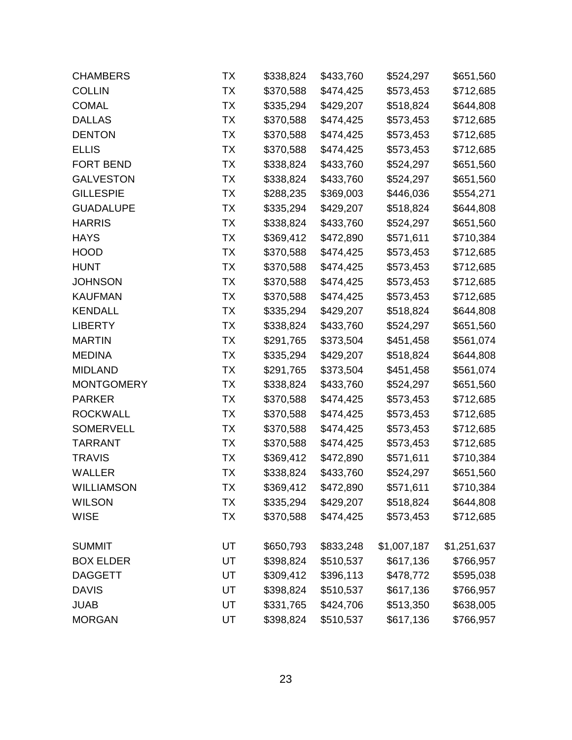| <b>CHAMBERS</b>   | ТX        | \$338,824 | \$433,760 | \$524,297   | \$651,560   |
|-------------------|-----------|-----------|-----------|-------------|-------------|
| <b>COLLIN</b>     | <b>TX</b> | \$370,588 | \$474,425 | \$573,453   | \$712,685   |
| <b>COMAL</b>      | <b>TX</b> | \$335,294 | \$429,207 | \$518,824   | \$644,808   |
| <b>DALLAS</b>     | ТX        | \$370,588 | \$474,425 | \$573,453   | \$712,685   |
| <b>DENTON</b>     | ТX        | \$370,588 | \$474,425 | \$573,453   | \$712,685   |
| <b>ELLIS</b>      | <b>TX</b> | \$370,588 | \$474,425 | \$573,453   | \$712,685   |
| <b>FORT BEND</b>  | ТX        | \$338,824 | \$433,760 | \$524,297   | \$651,560   |
| <b>GALVESTON</b>  | ТX        | \$338,824 | \$433,760 | \$524,297   | \$651,560   |
| <b>GILLESPIE</b>  | TX        | \$288,235 | \$369,003 | \$446,036   | \$554,271   |
| <b>GUADALUPE</b>  | <b>TX</b> | \$335,294 | \$429,207 | \$518,824   | \$644,808   |
| <b>HARRIS</b>     | TX        | \$338,824 | \$433,760 | \$524,297   | \$651,560   |
| <b>HAYS</b>       | <b>TX</b> | \$369,412 | \$472,890 | \$571,611   | \$710,384   |
| <b>HOOD</b>       | <b>TX</b> | \$370,588 | \$474,425 | \$573,453   | \$712,685   |
| <b>HUNT</b>       | ТX        | \$370,588 | \$474,425 | \$573,453   | \$712,685   |
| <b>JOHNSON</b>    | TX        | \$370,588 | \$474,425 | \$573,453   | \$712,685   |
| <b>KAUFMAN</b>    | TX        | \$370,588 | \$474,425 | \$573,453   | \$712,685   |
| <b>KENDALL</b>    | ТX        | \$335,294 | \$429,207 | \$518,824   | \$644,808   |
| <b>LIBERTY</b>    | ТX        | \$338,824 | \$433,760 | \$524,297   | \$651,560   |
| <b>MARTIN</b>     | <b>TX</b> | \$291,765 | \$373,504 | \$451,458   | \$561,074   |
| <b>MEDINA</b>     | ТX        | \$335,294 | \$429,207 | \$518,824   | \$644,808   |
| <b>MIDLAND</b>    | ТX        | \$291,765 | \$373,504 | \$451,458   | \$561,074   |
| <b>MONTGOMERY</b> | TX        | \$338,824 | \$433,760 | \$524,297   | \$651,560   |
| <b>PARKER</b>     | <b>TX</b> | \$370,588 | \$474,425 | \$573,453   | \$712,685   |
| <b>ROCKWALL</b>   | ТX        | \$370,588 | \$474,425 | \$573,453   | \$712,685   |
| <b>SOMERVELL</b>  | ТX        | \$370,588 | \$474,425 | \$573,453   | \$712,685   |
| <b>TARRANT</b>    | TX        | \$370,588 | \$474,425 | \$573,453   | \$712,685   |
| <b>TRAVIS</b>     | TX        | \$369,412 | \$472,890 | \$571,611   | \$710,384   |
| <b>WALLER</b>     | ТX        | \$338,824 | \$433,760 | \$524,297   | \$651,560   |
| <b>WILLIAMSON</b> | ТX        | \$369,412 | \$472,890 | \$571,611   | \$710,384   |
| <b>WILSON</b>     | ТX        | \$335,294 | \$429,207 | \$518,824   | \$644,808   |
| <b>WISE</b>       | <b>TX</b> | \$370,588 | \$474,425 | \$573,453   | \$712,685   |
| <b>SUMMIT</b>     | UT        | \$650,793 | \$833,248 | \$1,007,187 | \$1,251,637 |
| <b>BOX ELDER</b>  | UT        | \$398,824 | \$510,537 | \$617,136   | \$766,957   |
| <b>DAGGETT</b>    | UT        | \$309,412 | \$396,113 | \$478,772   | \$595,038   |
| <b>DAVIS</b>      | UT        | \$398,824 | \$510,537 | \$617,136   | \$766,957   |
| <b>JUAB</b>       | UT        | \$331,765 | \$424,706 | \$513,350   | \$638,005   |
| <b>MORGAN</b>     | UT        | \$398,824 | \$510,537 | \$617,136   | \$766,957   |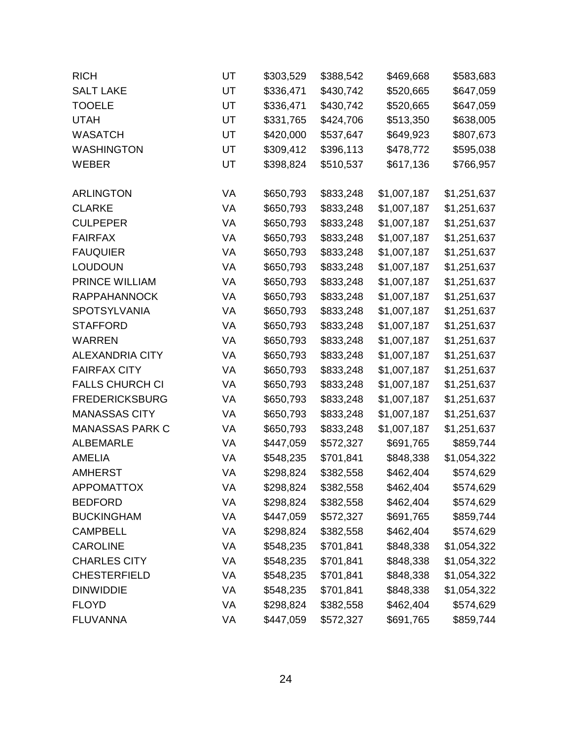| <b>RICH</b>            | UT | \$303,529 | \$388,542 | \$469,668   | \$583,683   |
|------------------------|----|-----------|-----------|-------------|-------------|
| <b>SALT LAKE</b>       | UT | \$336,471 | \$430,742 | \$520,665   | \$647,059   |
| <b>TOOELE</b>          | UT | \$336,471 | \$430,742 | \$520,665   | \$647,059   |
| <b>UTAH</b>            | UT | \$331,765 | \$424,706 | \$513,350   | \$638,005   |
| <b>WASATCH</b>         | UT | \$420,000 | \$537,647 | \$649,923   | \$807,673   |
| <b>WASHINGTON</b>      | UT | \$309,412 | \$396,113 | \$478,772   | \$595,038   |
| <b>WEBER</b>           | UT | \$398,824 | \$510,537 | \$617,136   | \$766,957   |
| <b>ARLINGTON</b>       | VA | \$650,793 | \$833,248 | \$1,007,187 | \$1,251,637 |
| <b>CLARKE</b>          | VA | \$650,793 | \$833,248 | \$1,007,187 | \$1,251,637 |
| <b>CULPEPER</b>        | VA | \$650,793 | \$833,248 | \$1,007,187 | \$1,251,637 |
| <b>FAIRFAX</b>         | VA | \$650,793 | \$833,248 | \$1,007,187 | \$1,251,637 |
| <b>FAUQUIER</b>        | VA | \$650,793 | \$833,248 | \$1,007,187 | \$1,251,637 |
| <b>LOUDOUN</b>         | VA | \$650,793 | \$833,248 | \$1,007,187 | \$1,251,637 |
| PRINCE WILLIAM         | VA | \$650,793 | \$833,248 | \$1,007,187 | \$1,251,637 |
| <b>RAPPAHANNOCK</b>    | VA | \$650,793 | \$833,248 | \$1,007,187 | \$1,251,637 |
| <b>SPOTSYLVANIA</b>    | VA | \$650,793 | \$833,248 | \$1,007,187 | \$1,251,637 |
| <b>STAFFORD</b>        | VA | \$650,793 | \$833,248 | \$1,007,187 | \$1,251,637 |
| <b>WARREN</b>          | VA | \$650,793 | \$833,248 | \$1,007,187 | \$1,251,637 |
| <b>ALEXANDRIA CITY</b> | VA | \$650,793 | \$833,248 | \$1,007,187 | \$1,251,637 |
| <b>FAIRFAX CITY</b>    | VA | \$650,793 | \$833,248 | \$1,007,187 | \$1,251,637 |
| <b>FALLS CHURCH CI</b> | VA | \$650,793 | \$833,248 | \$1,007,187 | \$1,251,637 |
| <b>FREDERICKSBURG</b>  | VA | \$650,793 | \$833,248 | \$1,007,187 | \$1,251,637 |
| <b>MANASSAS CITY</b>   | VA | \$650,793 | \$833,248 | \$1,007,187 | \$1,251,637 |
| <b>MANASSAS PARK C</b> | VA | \$650,793 | \$833,248 | \$1,007,187 | \$1,251,637 |
| <b>ALBEMARLE</b>       | VA | \$447,059 | \$572,327 | \$691,765   | \$859,744   |
| <b>AMELIA</b>          | VA | \$548,235 | \$701,841 | \$848,338   | \$1,054,322 |
| <b>AMHERST</b>         | VA | \$298,824 | \$382,558 | \$462,404   | \$574,629   |
| <b>APPOMATTOX</b>      | VA | \$298,824 | \$382,558 | \$462,404   | \$574,629   |
| <b>BEDFORD</b>         | VA | \$298,824 | \$382,558 | \$462,404   | \$574,629   |
| <b>BUCKINGHAM</b>      | VA | \$447,059 | \$572,327 | \$691,765   | \$859,744   |
| <b>CAMPBELL</b>        | VA | \$298,824 | \$382,558 | \$462,404   | \$574,629   |
| <b>CAROLINE</b>        | VA | \$548,235 | \$701,841 | \$848,338   | \$1,054,322 |
| <b>CHARLES CITY</b>    | VA | \$548,235 | \$701,841 | \$848,338   | \$1,054,322 |
| <b>CHESTERFIELD</b>    | VA | \$548,235 | \$701,841 | \$848,338   | \$1,054,322 |
| <b>DINWIDDIE</b>       | VA | \$548,235 | \$701,841 | \$848,338   | \$1,054,322 |
| <b>FLOYD</b>           | VA | \$298,824 | \$382,558 | \$462,404   | \$574,629   |
| <b>FLUVANNA</b>        | VA | \$447,059 | \$572,327 | \$691,765   | \$859,744   |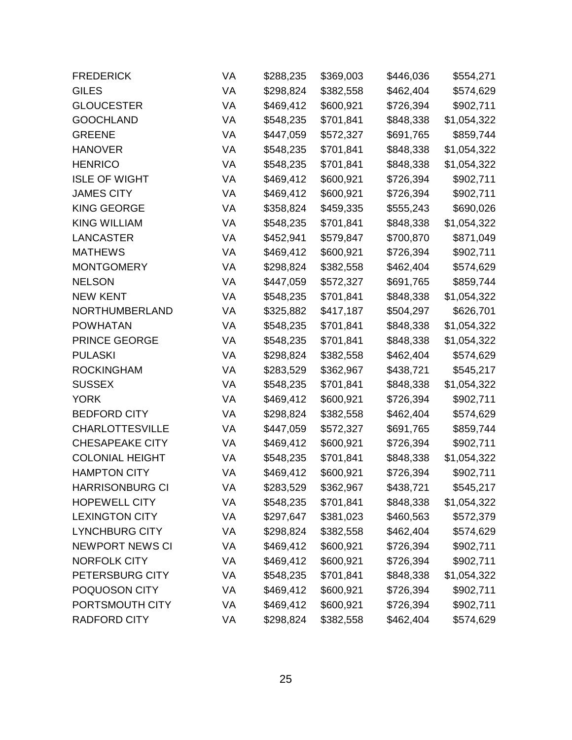| <b>FREDERICK</b>       | VA | \$288,235 | \$369,003 | \$446,036 | \$554,271   |
|------------------------|----|-----------|-----------|-----------|-------------|
| <b>GILES</b>           | VA | \$298,824 | \$382,558 | \$462,404 | \$574,629   |
| <b>GLOUCESTER</b>      | VA | \$469,412 | \$600,921 | \$726,394 | \$902,711   |
| <b>GOOCHLAND</b>       | VA | \$548,235 | \$701,841 | \$848,338 | \$1,054,322 |
| <b>GREENE</b>          | VA | \$447,059 | \$572,327 | \$691,765 | \$859,744   |
| <b>HANOVER</b>         | VA | \$548,235 | \$701,841 | \$848,338 | \$1,054,322 |
| <b>HENRICO</b>         | VA | \$548,235 | \$701,841 | \$848,338 | \$1,054,322 |
| <b>ISLE OF WIGHT</b>   | VA | \$469,412 | \$600,921 | \$726,394 | \$902,711   |
| <b>JAMES CITY</b>      | VA | \$469,412 | \$600,921 | \$726,394 | \$902,711   |
| <b>KING GEORGE</b>     | VA | \$358,824 | \$459,335 | \$555,243 | \$690,026   |
| <b>KING WILLIAM</b>    | VA | \$548,235 | \$701,841 | \$848,338 | \$1,054,322 |
| <b>LANCASTER</b>       | VA | \$452,941 | \$579,847 | \$700,870 | \$871,049   |
| <b>MATHEWS</b>         | VA | \$469,412 | \$600,921 | \$726,394 | \$902,711   |
| <b>MONTGOMERY</b>      | VA | \$298,824 | \$382,558 | \$462,404 | \$574,629   |
| <b>NELSON</b>          | VA | \$447,059 | \$572,327 | \$691,765 | \$859,744   |
| <b>NEW KENT</b>        | VA | \$548,235 | \$701,841 | \$848,338 | \$1,054,322 |
| NORTHUMBERLAND         | VA | \$325,882 | \$417,187 | \$504,297 | \$626,701   |
| <b>POWHATAN</b>        | VA | \$548,235 | \$701,841 | \$848,338 | \$1,054,322 |
| PRINCE GEORGE          | VA | \$548,235 | \$701,841 | \$848,338 | \$1,054,322 |
| <b>PULASKI</b>         | VA | \$298,824 | \$382,558 | \$462,404 | \$574,629   |
| <b>ROCKINGHAM</b>      | VA | \$283,529 | \$362,967 | \$438,721 | \$545,217   |
| <b>SUSSEX</b>          | VA | \$548,235 | \$701,841 | \$848,338 | \$1,054,322 |
| <b>YORK</b>            | VA | \$469,412 | \$600,921 | \$726,394 | \$902,711   |
| <b>BEDFORD CITY</b>    | VA | \$298,824 | \$382,558 | \$462,404 | \$574,629   |
| <b>CHARLOTTESVILLE</b> | VA | \$447,059 | \$572,327 | \$691,765 | \$859,744   |
| <b>CHESAPEAKE CITY</b> | VA | \$469,412 | \$600,921 | \$726,394 | \$902,711   |
| <b>COLONIAL HEIGHT</b> | VA | \$548,235 | \$701,841 | \$848,338 | \$1,054,322 |
| <b>HAMPTON CITY</b>    | VA | \$469,412 | \$600,921 | \$726,394 | \$902,711   |
| <b>HARRISONBURG CI</b> | VA | \$283,529 | \$362,967 | \$438,721 | \$545,217   |
| <b>HOPEWELL CITY</b>   | VA | \$548,235 | \$701,841 | \$848,338 | \$1,054,322 |
| <b>LEXINGTON CITY</b>  | VA | \$297,647 | \$381,023 | \$460,563 | \$572,379   |
| <b>LYNCHBURG CITY</b>  | VA | \$298,824 | \$382,558 | \$462,404 | \$574,629   |
| <b>NEWPORT NEWS CI</b> | VA | \$469,412 | \$600,921 | \$726,394 | \$902,711   |
| <b>NORFOLK CITY</b>    | VA | \$469,412 | \$600,921 | \$726,394 | \$902,711   |
| PETERSBURG CITY        | VA | \$548,235 | \$701,841 | \$848,338 | \$1,054,322 |
| POQUOSON CITY          | VA | \$469,412 | \$600,921 | \$726,394 | \$902,711   |
| PORTSMOUTH CITY        | VA | \$469,412 | \$600,921 | \$726,394 | \$902,711   |
| <b>RADFORD CITY</b>    | VA | \$298,824 | \$382,558 | \$462,404 | \$574,629   |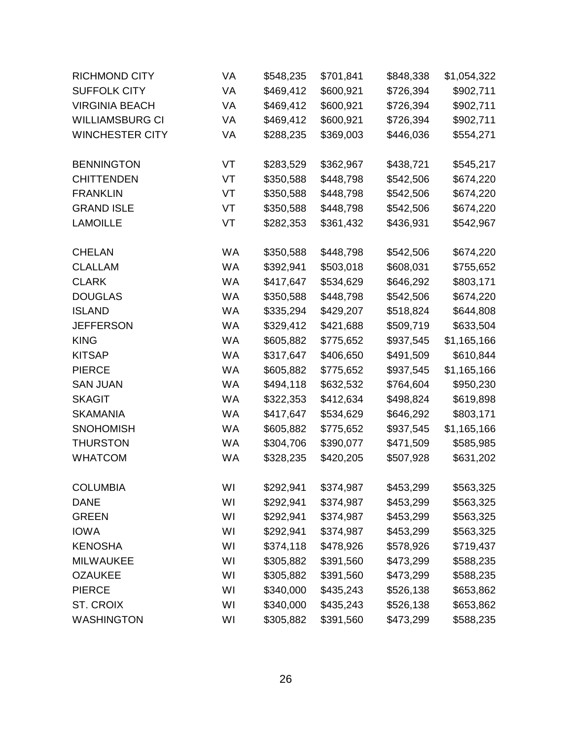| <b>RICHMOND CITY</b>   | VA        | \$548,235 | \$701,841 | \$848,338 | \$1,054,322 |
|------------------------|-----------|-----------|-----------|-----------|-------------|
| <b>SUFFOLK CITY</b>    | VA        | \$469,412 | \$600,921 | \$726,394 | \$902,711   |
| <b>VIRGINIA BEACH</b>  | VA        | \$469,412 | \$600,921 | \$726,394 | \$902,711   |
| <b>WILLIAMSBURG CI</b> | VA        | \$469,412 | \$600,921 | \$726,394 | \$902,711   |
| <b>WINCHESTER CITY</b> | VA        | \$288,235 | \$369,003 | \$446,036 | \$554,271   |
| <b>BENNINGTON</b>      | VT        | \$283,529 | \$362,967 | \$438,721 | \$545,217   |
| <b>CHITTENDEN</b>      | VT        | \$350,588 | \$448,798 | \$542,506 | \$674,220   |
| <b>FRANKLIN</b>        | VT        | \$350,588 | \$448,798 | \$542,506 | \$674,220   |
| <b>GRAND ISLE</b>      | VT        | \$350,588 | \$448,798 | \$542,506 | \$674,220   |
| <b>LAMOILLE</b>        | VT        | \$282,353 | \$361,432 | \$436,931 | \$542,967   |
| <b>CHELAN</b>          | WA        | \$350,588 | \$448,798 | \$542,506 | \$674,220   |
| <b>CLALLAM</b>         | WA        | \$392,941 | \$503,018 | \$608,031 | \$755,652   |
| <b>CLARK</b>           | WA        | \$417,647 | \$534,629 | \$646,292 | \$803,171   |
| <b>DOUGLAS</b>         | WA        | \$350,588 | \$448,798 | \$542,506 | \$674,220   |
| <b>ISLAND</b>          | WA        | \$335,294 | \$429,207 | \$518,824 | \$644,808   |
| <b>JEFFERSON</b>       | <b>WA</b> | \$329,412 | \$421,688 | \$509,719 | \$633,504   |
| <b>KING</b>            | WA        | \$605,882 | \$775,652 | \$937,545 | \$1,165,166 |
| <b>KITSAP</b>          | WA        | \$317,647 | \$406,650 | \$491,509 | \$610,844   |
| <b>PIERCE</b>          | WA        | \$605,882 | \$775,652 | \$937,545 | \$1,165,166 |
| <b>SAN JUAN</b>        | WA        | \$494,118 | \$632,532 | \$764,604 | \$950,230   |
| <b>SKAGIT</b>          | <b>WA</b> | \$322,353 | \$412,634 | \$498,824 | \$619,898   |
| <b>SKAMANIA</b>        | WA        | \$417,647 | \$534,629 | \$646,292 | \$803,171   |
| <b>SNOHOMISH</b>       | WA        | \$605,882 | \$775,652 | \$937,545 | \$1,165,166 |
| <b>THURSTON</b>        | <b>WA</b> | \$304,706 | \$390,077 | \$471,509 | \$585,985   |
| <b>WHATCOM</b>         | WA        | \$328,235 | \$420,205 | \$507,928 | \$631,202   |
| <b>COLUMBIA</b>        | WI        | \$292,941 | \$374,987 | \$453,299 | \$563,325   |
| <b>DANE</b>            | WI        | \$292,941 | \$374,987 | \$453,299 | \$563,325   |
| <b>GREEN</b>           | WI        | \$292,941 | \$374,987 | \$453,299 | \$563,325   |
| <b>IOWA</b>            | WI        | \$292,941 | \$374,987 | \$453,299 | \$563,325   |
| <b>KENOSHA</b>         | WI        | \$374,118 | \$478,926 | \$578,926 | \$719,437   |
| <b>MILWAUKEE</b>       | WI        | \$305,882 | \$391,560 | \$473,299 | \$588,235   |
| <b>OZAUKEE</b>         | WI        | \$305,882 | \$391,560 | \$473,299 | \$588,235   |
| <b>PIERCE</b>          | WI        | \$340,000 | \$435,243 | \$526,138 | \$653,862   |
| ST. CROIX              | WI        | \$340,000 | \$435,243 | \$526,138 | \$653,862   |
| <b>WASHINGTON</b>      | WI        | \$305,882 | \$391,560 | \$473,299 | \$588,235   |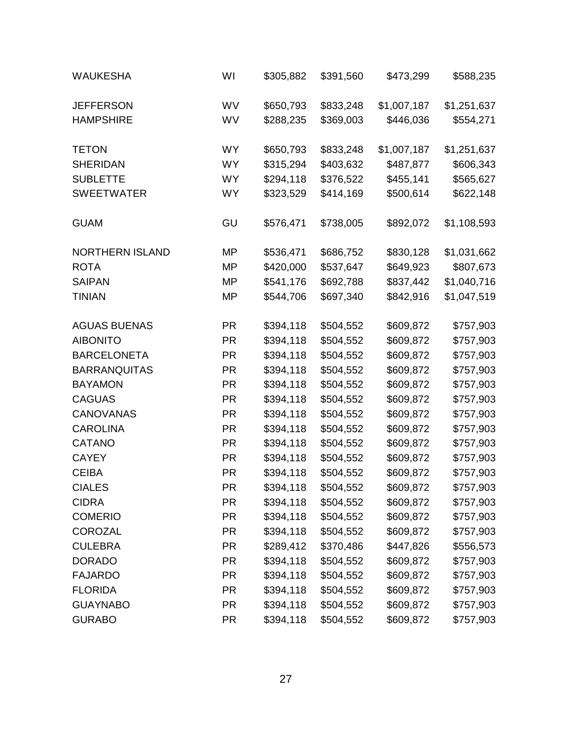| <b>WAUKESHA</b>        | WI        | \$305,882 | \$391,560 | \$473,299   | \$588,235   |
|------------------------|-----------|-----------|-----------|-------------|-------------|
| <b>JEFFERSON</b>       | WV        | \$650,793 | \$833,248 | \$1,007,187 | \$1,251,637 |
| <b>HAMPSHIRE</b>       | WV        | \$288,235 | \$369,003 | \$446,036   | \$554,271   |
| <b>TETON</b>           | <b>WY</b> | \$650,793 | \$833,248 | \$1,007,187 | \$1,251,637 |
| <b>SHERIDAN</b>        | WY.       | \$315,294 | \$403,632 | \$487,877   | \$606,343   |
| <b>SUBLETTE</b>        | <b>WY</b> | \$294,118 | \$376,522 | \$455,141   | \$565,627   |
| <b>SWEETWATER</b>      | <b>WY</b> | \$323,529 | \$414,169 | \$500,614   | \$622,148   |
| <b>GUAM</b>            | GU        | \$576,471 | \$738,005 | \$892,072   | \$1,108,593 |
| <b>NORTHERN ISLAND</b> | MP        | \$536,471 | \$686,752 | \$830,128   | \$1,031,662 |
| <b>ROTA</b>            | MP        | \$420,000 | \$537,647 | \$649,923   | \$807,673   |
| <b>SAIPAN</b>          | MP        | \$541,176 | \$692,788 | \$837,442   | \$1,040,716 |
| <b>TINIAN</b>          | MP        | \$544,706 | \$697,340 | \$842,916   | \$1,047,519 |
| <b>AGUAS BUENAS</b>    | <b>PR</b> | \$394,118 | \$504,552 | \$609,872   | \$757,903   |
| <b>AIBONITO</b>        | <b>PR</b> | \$394,118 | \$504,552 | \$609,872   | \$757,903   |
| <b>BARCELONETA</b>     | <b>PR</b> | \$394,118 | \$504,552 | \$609,872   | \$757,903   |
| <b>BARRANQUITAS</b>    | <b>PR</b> | \$394,118 | \$504,552 | \$609,872   | \$757,903   |
| <b>BAYAMON</b>         | <b>PR</b> | \$394,118 | \$504,552 | \$609,872   | \$757,903   |
| <b>CAGUAS</b>          | <b>PR</b> | \$394,118 | \$504,552 | \$609,872   | \$757,903   |
| <b>CANOVANAS</b>       | <b>PR</b> | \$394,118 | \$504,552 | \$609,872   | \$757,903   |
| <b>CAROLINA</b>        | <b>PR</b> | \$394,118 | \$504,552 | \$609,872   | \$757,903   |
| <b>CATANO</b>          | <b>PR</b> | \$394,118 | \$504,552 | \$609,872   | \$757,903   |
| <b>CAYEY</b>           | <b>PR</b> | \$394,118 | \$504,552 | \$609,872   | \$757,903   |
| <b>CEIBA</b>           | <b>PR</b> | \$394,118 | \$504,552 | \$609,872   | \$757,903   |
| <b>CIALES</b>          | PR        | \$394,118 | \$504,552 | \$609,872   | \$757,903   |
| <b>CIDRA</b>           | <b>PR</b> | \$394,118 | \$504,552 | \$609,872   | \$757,903   |
| <b>COMERIO</b>         | <b>PR</b> | \$394,118 | \$504,552 | \$609,872   | \$757,903   |
| <b>COROZAL</b>         | <b>PR</b> | \$394,118 | \$504,552 | \$609,872   | \$757,903   |
| <b>CULEBRA</b>         | <b>PR</b> | \$289,412 | \$370,486 | \$447,826   | \$556,573   |
| <b>DORADO</b>          | <b>PR</b> | \$394,118 | \$504,552 | \$609,872   | \$757,903   |
| <b>FAJARDO</b>         | <b>PR</b> | \$394,118 | \$504,552 | \$609,872   | \$757,903   |
| <b>FLORIDA</b>         | <b>PR</b> | \$394,118 | \$504,552 | \$609,872   | \$757,903   |
| <b>GUAYNABO</b>        | <b>PR</b> | \$394,118 | \$504,552 | \$609,872   | \$757,903   |
| <b>GURABO</b>          | <b>PR</b> | \$394,118 | \$504,552 | \$609,872   | \$757,903   |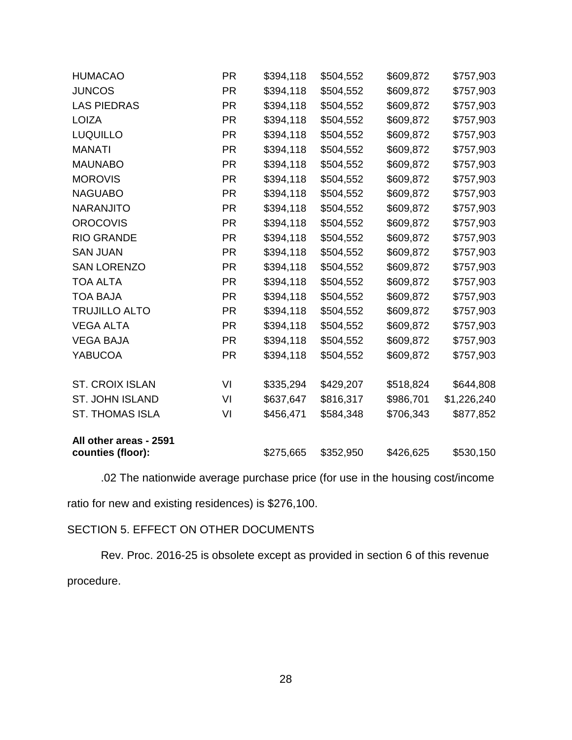| <b>HUMACAO</b>         | <b>PR</b> | \$394,118 | \$504,552 | \$609,872 | \$757,903   |
|------------------------|-----------|-----------|-----------|-----------|-------------|
| <b>JUNCOS</b>          | PR        | \$394,118 | \$504,552 | \$609,872 | \$757,903   |
| <b>LAS PIEDRAS</b>     | <b>PR</b> | \$394,118 | \$504,552 | \$609,872 | \$757,903   |
| <b>LOIZA</b>           | <b>PR</b> | \$394,118 | \$504,552 | \$609,872 | \$757,903   |
| <b>LUQUILLO</b>        | <b>PR</b> | \$394,118 | \$504,552 | \$609,872 | \$757,903   |
| <b>MANATI</b>          | <b>PR</b> | \$394,118 | \$504,552 | \$609,872 | \$757,903   |
| <b>MAUNABO</b>         | <b>PR</b> | \$394,118 | \$504,552 | \$609,872 | \$757,903   |
| <b>MOROVIS</b>         | <b>PR</b> | \$394,118 | \$504,552 | \$609,872 | \$757,903   |
| <b>NAGUABO</b>         | <b>PR</b> | \$394,118 | \$504,552 | \$609,872 | \$757,903   |
| <b>NARANJITO</b>       | <b>PR</b> | \$394,118 | \$504,552 | \$609,872 | \$757,903   |
| <b>OROCOVIS</b>        | <b>PR</b> | \$394,118 | \$504,552 | \$609,872 | \$757,903   |
| <b>RIO GRANDE</b>      | <b>PR</b> | \$394,118 | \$504,552 | \$609,872 | \$757,903   |
| <b>SAN JUAN</b>        | <b>PR</b> | \$394,118 | \$504,552 | \$609,872 | \$757,903   |
| <b>SAN LORENZO</b>     | <b>PR</b> | \$394,118 | \$504,552 | \$609,872 | \$757,903   |
| <b>TOA ALTA</b>        | <b>PR</b> | \$394,118 | \$504,552 | \$609,872 | \$757,903   |
| <b>TOA BAJA</b>        | <b>PR</b> | \$394,118 | \$504,552 | \$609,872 | \$757,903   |
| <b>TRUJILLO ALTO</b>   | <b>PR</b> | \$394,118 | \$504,552 | \$609,872 | \$757,903   |
| <b>VEGA ALTA</b>       | <b>PR</b> | \$394,118 | \$504,552 | \$609,872 | \$757,903   |
| <b>VEGA BAJA</b>       | <b>PR</b> | \$394,118 | \$504,552 | \$609,872 | \$757,903   |
| <b>YABUCOA</b>         | <b>PR</b> | \$394,118 | \$504,552 | \$609,872 | \$757,903   |
| <b>ST. CROIX ISLAN</b> | VI        | \$335,294 | \$429,207 | \$518,824 | \$644,808   |
| <b>ST. JOHN ISLAND</b> | VI        | \$637,647 | \$816,317 | \$986,701 | \$1,226,240 |
| <b>ST. THOMAS ISLA</b> | VI        | \$456,471 | \$584,348 | \$706,343 | \$877,852   |
| All other areas - 2591 |           |           |           |           |             |
| counties (floor):      |           | \$275,665 | \$352,950 | \$426,625 | \$530,150   |

.02 The nationwide average purchase price (for use in the housing cost/income

ratio for new and existing residences) is \$276,100.

# SECTION 5. EFFECT ON OTHER DOCUMENTS

Rev. Proc. 2016-25 is obsolete except as provided in section 6 of this revenue procedure.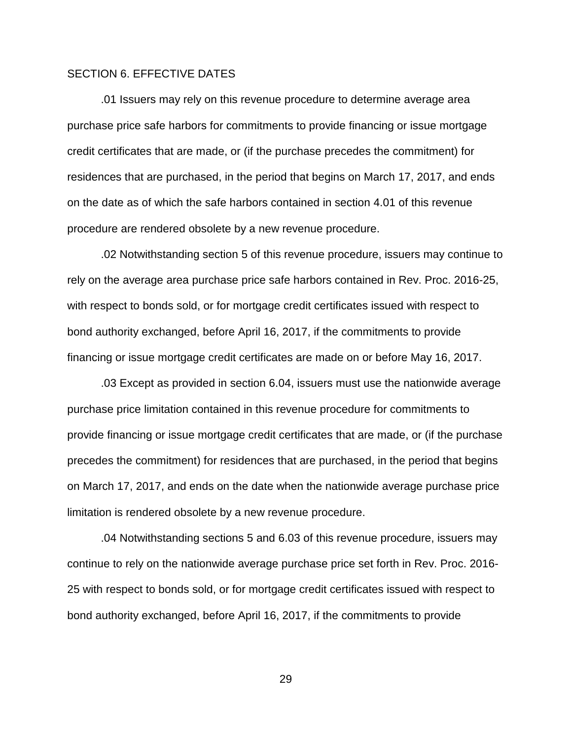## SECTION 6. EFFECTIVE DATES

.01 Issuers may rely on this revenue procedure to determine average area purchase price safe harbors for commitments to provide financing or issue mortgage credit certificates that are made, or (if the purchase precedes the commitment) for residences that are purchased, in the period that begins on March 17, 2017, and ends on the date as of which the safe harbors contained in section 4.01 of this revenue procedure are rendered obsolete by a new revenue procedure.

.02 Notwithstanding section 5 of this revenue procedure, issuers may continue to rely on the average area purchase price safe harbors contained in Rev. Proc. 2016-25, with respect to bonds sold, or for mortgage credit certificates issued with respect to bond authority exchanged, before April 16, 2017, if the commitments to provide financing or issue mortgage credit certificates are made on or before May 16, 2017.

.03 Except as provided in section 6.04, issuers must use the nationwide average purchase price limitation contained in this revenue procedure for commitments to provide financing or issue mortgage credit certificates that are made, or (if the purchase precedes the commitment) for residences that are purchased, in the period that begins on March 17, 2017, and ends on the date when the nationwide average purchase price limitation is rendered obsolete by a new revenue procedure.

.04 Notwithstanding sections 5 and 6.03 of this revenue procedure, issuers may continue to rely on the nationwide average purchase price set forth in Rev. Proc. 2016- 25 with respect to bonds sold, or for mortgage credit certificates issued with respect to bond authority exchanged, before April 16, 2017, if the commitments to provide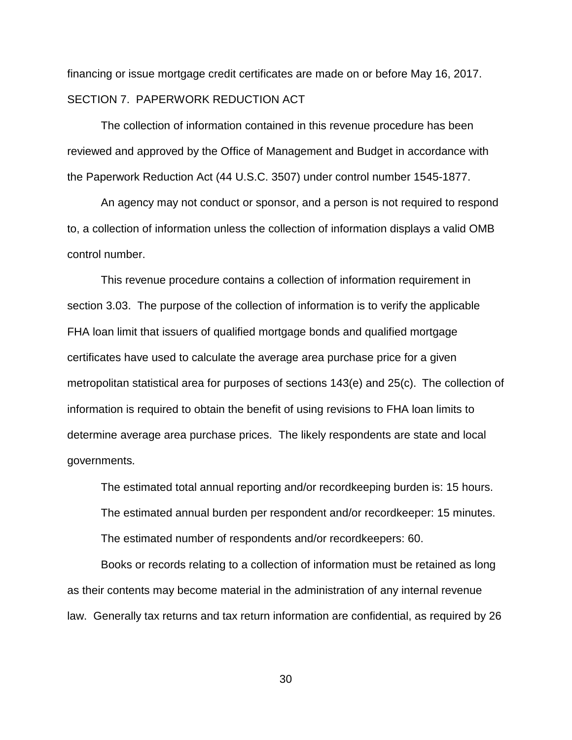financing or issue mortgage credit certificates are made on or before May 16, 2017. SECTION 7. PAPERWORK REDUCTION ACT

The collection of information contained in this revenue procedure has been reviewed and approved by the Office of Management and Budget in accordance with the Paperwork Reduction Act (44 U.S.C. 3507) under control number 1545-1877.

An agency may not conduct or sponsor, and a person is not required to respond to, a collection of information unless the collection of information displays a valid OMB control number.

This revenue procedure contains a collection of information requirement in section 3.03. The purpose of the collection of information is to verify the applicable FHA loan limit that issuers of qualified mortgage bonds and qualified mortgage certificates have used to calculate the average area purchase price for a given metropolitan statistical area for purposes of sections 143(e) and 25(c).The collection of information is required to obtain the benefit of using revisions to FHA loan limits to determine average area purchase prices. The likely respondents are state and local governments.

The estimated total annual reporting and/or recordkeeping burden is: 15 hours. The estimated annual burden per respondent and/or recordkeeper: 15 minutes. The estimated number of respondents and/or recordkeepers: 60.

Books or records relating to a collection of information must be retained as long as their contents may become material in the administration of any internal revenue law. Generally tax returns and tax return information are confidential, as required by 26